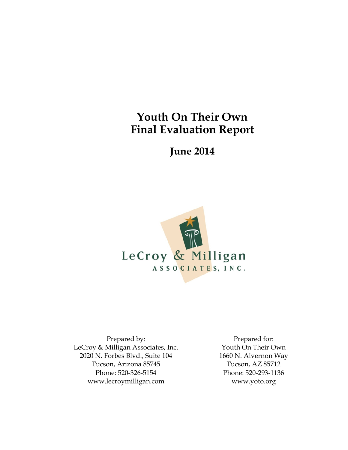# **Youth On Their Own Final Evaluation Report**

**June 2014**



Prepared by: LeCroy & Milligan Associates, Inc. 2020 N. Forbes Blvd., Suite 104 Tucson, Arizona 85745 Phone: 520-326-5154 www.lecroymilligan.com

Prepared for: Youth On Their Own 1660 N. Alvernon Way Tucson, AZ 85712 Phone: 520-293-1136 www.yoto.org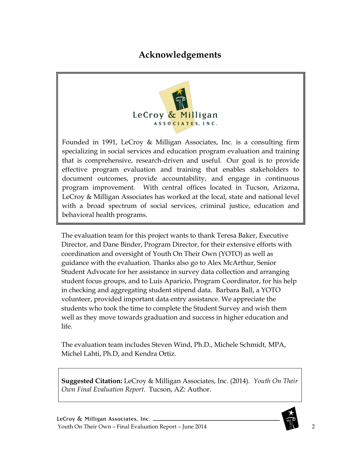## **Acknowledgements**

<span id="page-1-0"></span>

Founded in 1991, LeCroy & Milligan Associates, Inc. is a consulting firm specializing in social services and education program evaluation and training that is comprehensive, research-driven and useful. Our goal is to provide effective program evaluation and training that enables stakeholders to document outcomes, provide accountability, and engage in continuous program improvement. With central offices located in Tucson, Arizona, LeCroy & Milligan Associates has worked at the local, state and national level with a broad spectrum of social services, criminal justice, education and behavioral health programs.

The evaluation team for this project wants to thank Teresa Baker, Executive Director, and Dane Binder, Program Director, for their extensive efforts with coordination and oversight of Youth On Their Own (YOTO) as well as guidance with the evaluation. Thanks also go to Alex McArthur, Senior Student Advocate for her assistance in survey data collection and arranging student focus groups, and to Luis Aparicio, Program Coordinator, for his help in checking and aggregating student stipend data. Barbara Ball, a YOTO volunteer, provided important data entry assistance. We appreciate the students who took the time to complete the Student Survey and wish them well as they move towards graduation and success in higher education and life.

The evaluation team includes Steven Wind, Ph.D., Michele Schmidt, MPA, Michel Lahti, Ph.D, and Kendra Ortiz.

**Suggested Citation:** LeCroy & Milligan Associates, Inc. (2014). *Youth On Their Own Final Evaluation Report*. Tucson, AZ: Author.

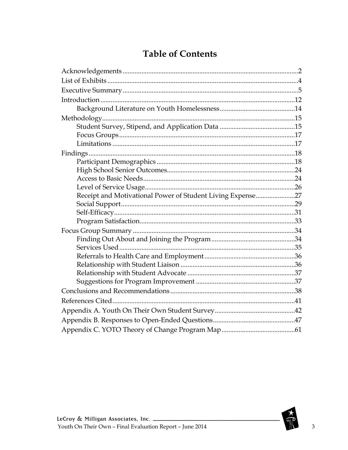# **Table of Contents**

| Receipt and Motivational Power of Student Living Expense27 |  |
|------------------------------------------------------------|--|
|                                                            |  |
|                                                            |  |
|                                                            |  |
|                                                            |  |
|                                                            |  |
|                                                            |  |
|                                                            |  |
|                                                            |  |
|                                                            |  |
|                                                            |  |
|                                                            |  |
|                                                            |  |
|                                                            |  |
|                                                            |  |
|                                                            |  |

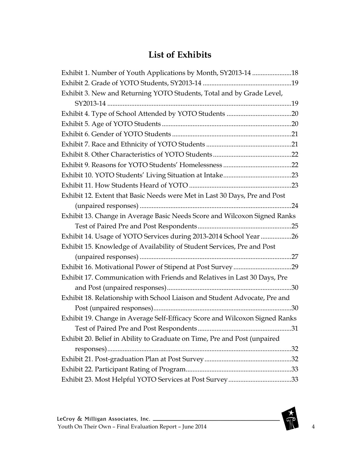# **List of Exhibits**

<span id="page-3-0"></span>

| Exhibit 1. Number of Youth Applications by Month, SY2013-14 18              |  |
|-----------------------------------------------------------------------------|--|
|                                                                             |  |
| Exhibit 3. New and Returning YOTO Students, Total and by Grade Level,       |  |
|                                                                             |  |
|                                                                             |  |
|                                                                             |  |
|                                                                             |  |
|                                                                             |  |
|                                                                             |  |
|                                                                             |  |
|                                                                             |  |
|                                                                             |  |
| Exhibit 12. Extent that Basic Needs were Met in Last 30 Days, Pre and Post  |  |
| . 24                                                                        |  |
| Exhibit 13. Change in Average Basic Needs Score and Wilcoxon Signed Ranks   |  |
|                                                                             |  |
| Exhibit 14. Usage of YOTO Services during 2013-2014 School Year 26          |  |
| Exhibit 15. Knowledge of Availability of Student Services, Pre and Post     |  |
|                                                                             |  |
|                                                                             |  |
| Exhibit 17. Communication with Friends and Relatives in Last 30 Days, Pre   |  |
|                                                                             |  |
| Exhibit 18. Relationship with School Liaison and Student Advocate, Pre and  |  |
| 30                                                                          |  |
| Exhibit 19. Change in Average Self-Efficacy Score and Wilcoxon Signed Ranks |  |
|                                                                             |  |
| Exhibit 20. Belief in Ability to Graduate on Time, Pre and Post (unpaired   |  |
|                                                                             |  |
|                                                                             |  |
|                                                                             |  |
| Exhibit 23. Most Helpful YOTO Services at Post Survey33                     |  |

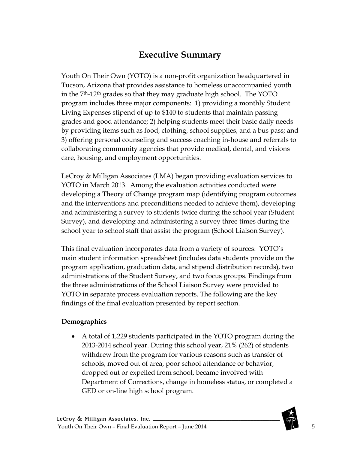## **Executive Summary**

<span id="page-4-0"></span>Youth On Their Own (YOTO) is a non-profit organization headquartered in Tucson, Arizona that provides assistance to homeless unaccompanied youth in the 7th-12th grades so that they may graduate high school. The YOTO program includes three major components: 1) providing a monthly Student Living Expenses stipend of up to \$140 to students that maintain passing grades and good attendance; 2) helping students meet their basic daily needs by providing items such as food, clothing, school supplies, and a bus pass; and 3) offering personal counseling and success coaching in-house and referrals to collaborating community agencies that provide medical, dental, and visions care, housing, and employment opportunities.

LeCroy & Milligan Associates (LMA) began providing evaluation services to YOTO in March 2013. Among the evaluation activities conducted were developing a Theory of Change program map (identifying program outcomes and the interventions and preconditions needed to achieve them), developing and administering a survey to students twice during the school year (Student Survey), and developing and administering a survey three times during the school year to school staff that assist the program (School Liaison Survey).

This final evaluation incorporates data from a variety of sources: YOTO's main student information spreadsheet (includes data students provide on the program application, graduation data, and stipend distribution records), two administrations of the Student Survey, and two focus groups. Findings from the three administrations of the School Liaison Survey were provided to YOTO in separate process evaluation reports. The following are the key findings of the final evaluation presented by report section.

#### **Demographics**

• A total of 1,229 students participated in the YOTO program during the 2013-2014 school year. During this school year, 21% (262) of students withdrew from the program for various reasons such as transfer of schools, moved out of area, poor school attendance or behavior, dropped out or expelled from school, became involved with Department of Corrections, change in homeless status, or completed a GED or on-line high school program.

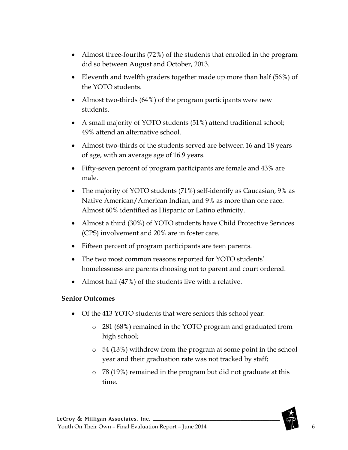- Almost three-fourths (72%) of the students that enrolled in the program did so between August and October, 2013.
- Eleventh and twelfth graders together made up more than half (56%) of the YOTO students.
- Almost two-thirds (64%) of the program participants were new students.
- A small majority of YOTO students (51%) attend traditional school; 49% attend an alternative school.
- Almost two-thirds of the students served are between 16 and 18 years of age, with an average age of 16.9 years.
- Fifty-seven percent of program participants are female and 43% are male.
- The majority of YOTO students (71%) self-identify as Caucasian, 9% as Native American/American Indian, and 9% as more than one race. Almost 60% identified as Hispanic or Latino ethnicity.
- Almost a third (30%) of YOTO students have Child Protective Services (CPS) involvement and 20% are in foster care.
- Fifteen percent of program participants are teen parents.
- The two most common reasons reported for YOTO students' homelessness are parents choosing not to parent and court ordered.
- Almost half (47%) of the students live with a relative.

#### **Senior Outcomes**

- Of the 413 YOTO students that were seniors this school year:
	- o 281 (68%) remained in the YOTO program and graduated from high school;
	- o 54 (13%) withdrew from the program at some point in the school year and their graduation rate was not tracked by staff;
	- o 78 (19%) remained in the program but did not graduate at this time.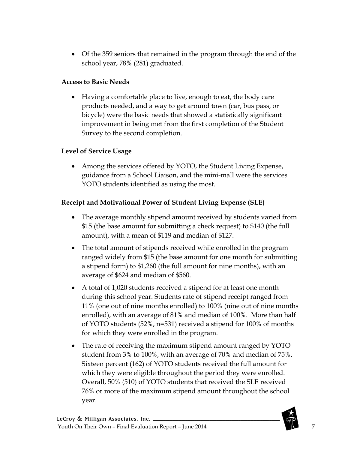• Of the 359 seniors that remained in the program through the end of the school year, 78% (281) graduated.

#### **Access to Basic Needs**

• Having a comfortable place to live, enough to eat, the body care products needed, and a way to get around town (car, bus pass, or bicycle) were the basic needs that showed a statistically significant improvement in being met from the first completion of the Student Survey to the second completion.

#### **Level of Service Usage**

• Among the services offered by YOTO, the Student Living Expense, guidance from a School Liaison, and the mini-mall were the services YOTO students identified as using the most.

#### **Receipt and Motivational Power of Student Living Expense (SLE)**

- The average monthly stipend amount received by students varied from \$15 (the base amount for submitting a check request) to \$140 (the full amount), with a mean of \$119 and median of \$127.
- The total amount of stipends received while enrolled in the program ranged widely from \$15 (the base amount for one month for submitting a stipend form) to \$1,260 (the full amount for nine months), with an average of \$624 and median of \$560.
- A total of 1,020 students received a stipend for at least one month during this school year. Students rate of stipend receipt ranged from 11% (one out of nine months enrolled) to 100% (nine out of nine months enrolled), with an average of 81% and median of 100%. More than half of YOTO students (52%, n=531) received a stipend for 100% of months for which they were enrolled in the program.
- The rate of receiving the maximum stipend amount ranged by YOTO student from 3% to 100%, with an average of 70% and median of 75%. Sixteen percent (162) of YOTO students received the full amount for which they were eligible throughout the period they were enrolled. Overall, 50% (510) of YOTO students that received the SLE received 76% or more of the maximum stipend amount throughout the school year.

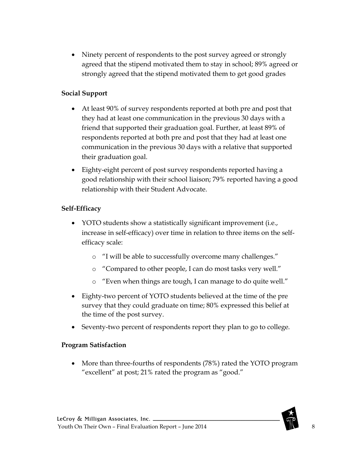• Ninety percent of respondents to the post survey agreed or strongly agreed that the stipend motivated them to stay in school; 89% agreed or strongly agreed that the stipend motivated them to get good grades

### **Social Support**

- At least 90% of survey respondents reported at both pre and post that they had at least one communication in the previous 30 days with a friend that supported their graduation goal. Further, at least 89% of respondents reported at both pre and post that they had at least one communication in the previous 30 days with a relative that supported their graduation goal.
- Eighty-eight percent of post survey respondents reported having a good relationship with their school liaison; 79% reported having a good relationship with their Student Advocate.

#### **Self-Efficacy**

- YOTO students show a statistically significant improvement (i.e., increase in self-efficacy) over time in relation to three items on the selfefficacy scale:
	- o "I will be able to successfully overcome many challenges."
	- o "Compared to other people, I can do most tasks very well."
	- o "Even when things are tough, I can manage to do quite well."
- Eighty-two percent of YOTO students believed at the time of the pre survey that they could graduate on time; 80% expressed this belief at the time of the post survey.
- Seventy-two percent of respondents report they plan to go to college.

#### **Program Satisfaction**

• More than three-fourths of respondents (78%) rated the YOTO program "excellent" at post; 21% rated the program as "good."

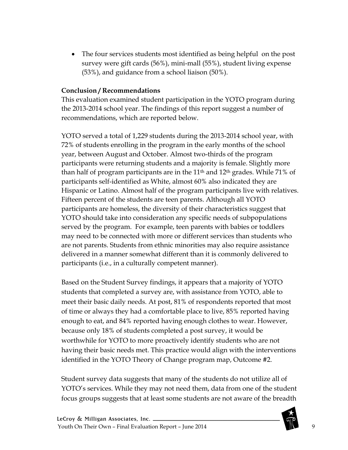• The four services students most identified as being helpful on the post survey were gift cards (56%), mini-mall (55%), student living expense (53%), and guidance from a school liaison (50%).

#### **Conclusion / Recommendations**

This evaluation examined student participation in the YOTO program during the 2013-2014 school year. The findings of this report suggest a number of recommendations, which are reported below.

YOTO served a total of 1,229 students during the 2013-2014 school year, with 72% of students enrolling in the program in the early months of the school year, between August and October. Almost two-thirds of the program participants were returning students and a majority is female. Slightly more than half of program participants are in the  $11<sup>th</sup>$  and  $12<sup>th</sup>$  grades. While 71% of participants self-identified as White, almost 60% also indicated they are Hispanic or Latino. Almost half of the program participants live with relatives. Fifteen percent of the students are teen parents. Although all YOTO participants are homeless, the diversity of their characteristics suggest that YOTO should take into consideration any specific needs of subpopulations served by the program. For example, teen parents with babies or toddlers may need to be connected with more or different services than students who are not parents. Students from ethnic minorities may also require assistance delivered in a manner somewhat different than it is commonly delivered to participants (i.e., in a culturally competent manner).

Based on the Student Survey findings, it appears that a majority of YOTO students that completed a survey are, with assistance from YOTO, able to meet their basic daily needs. At post, 81% of respondents reported that most of time or always they had a comfortable place to live, 85% reported having enough to eat, and 84% reported having enough clothes to wear. However, because only 18% of students completed a post survey, it would be worthwhile for YOTO to more proactively identify students who are not having their basic needs met. This practice would align with the interventions identified in the YOTO Theory of Change program map, Outcome #2.

Student survey data suggests that many of the students do not utilize all of YOTO's services. While they may not need them, data from one of the student focus groups suggests that at least some students are not aware of the breadth

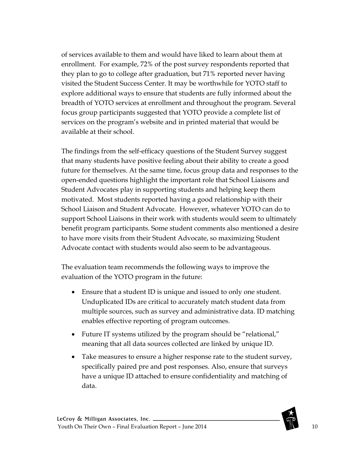of services available to them and would have liked to learn about them at enrollment. For example, 72% of the post survey respondents reported that they plan to go to college after graduation, but 71% reported never having visited the Student Success Center. It may be worthwhile for YOTO staff to explore additional ways to ensure that students are fully informed about the breadth of YOTO services at enrollment and throughout the program. Several focus group participants suggested that YOTO provide a complete list of services on the program's website and in printed material that would be available at their school.

The findings from the self-efficacy questions of the Student Survey suggest that many students have positive feeling about their ability to create a good future for themselves. At the same time, focus group data and responses to the open-ended questions highlight the important role that School Liaisons and Student Advocates play in supporting students and helping keep them motivated. Most students reported having a good relationship with their School Liaison and Student Advocate. However, whatever YOTO can do to support School Liaisons in their work with students would seem to ultimately benefit program participants. Some student comments also mentioned a desire to have more visits from their Student Advocate, so maximizing Student Advocate contact with students would also seem to be advantageous.

The evaluation team recommends the following ways to improve the evaluation of the YOTO program in the future:

- Ensure that a student ID is unique and issued to only one student. Unduplicated IDs are critical to accurately match student data from multiple sources, such as survey and administrative data. ID matching enables effective reporting of program outcomes.
- Future IT systems utilized by the program should be "relational," meaning that all data sources collected are linked by unique ID.
- Take measures to ensure a higher response rate to the student survey, specifically paired pre and post responses. Also, ensure that surveys have a unique ID attached to ensure confidentiality and matching of data.

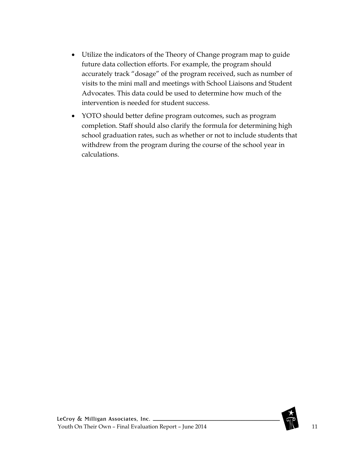- Utilize the indicators of the Theory of Change program map to guide future data collection efforts. For example, the program should accurately track "dosage" of the program received, such as number of visits to the mini mall and meetings with School Liaisons and Student Advocates. This data could be used to determine how much of the intervention is needed for student success.
- YOTO should better define program outcomes, such as program completion. Staff should also clarify the formula for determining high school graduation rates, such as whether or not to include students that withdrew from the program during the course of the school year in calculations.

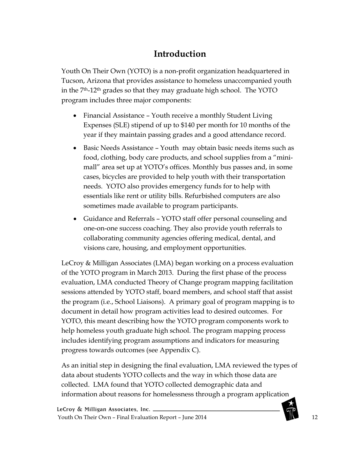# **Introduction**

<span id="page-11-0"></span>Youth On Their Own (YOTO) is a non-profit organization headquartered in Tucson, Arizona that provides assistance to homeless unaccompanied youth in the 7th-12th grades so that they may graduate high school. The YOTO program includes three major components:

- Financial Assistance Youth receive a monthly Student Living Expenses (SLE) stipend of up to \$140 per month for 10 months of the year if they maintain passing grades and a good attendance record.
- Basic Needs Assistance Youth may obtain basic needs items such as food, clothing, body care products, and school supplies from a "minimall" area set up at YOTO's offices. Monthly bus passes and, in some cases, bicycles are provided to help youth with their transportation needs. YOTO also provides emergency funds for to help with essentials like rent or utility bills. Refurbished computers are also sometimes made available to program participants.
- Guidance and Referrals YOTO staff offer personal counseling and one-on-one success coaching. They also provide youth referrals to collaborating community agencies offering medical, dental, and visions care, housing, and employment opportunities.

LeCroy & Milligan Associates (LMA) began working on a process evaluation of the YOTO program in March 2013. During the first phase of the process evaluation, LMA conducted Theory of Change program mapping facilitation sessions attended by YOTO staff, board members, and school staff that assist the program (i.e., School Liaisons). A primary goal of program mapping is to document in detail how program activities lead to desired outcomes. For YOTO, this meant describing how the YOTO program components work to help homeless youth graduate high school. The program mapping process includes identifying program assumptions and indicators for measuring progress towards outcomes (see Appendix C).

As an initial step in designing the final evaluation, LMA reviewed the types of data about students YOTO collects and the way in which those data are collected. LMA found that YOTO collected demographic data and information about reasons for homelessness through a program application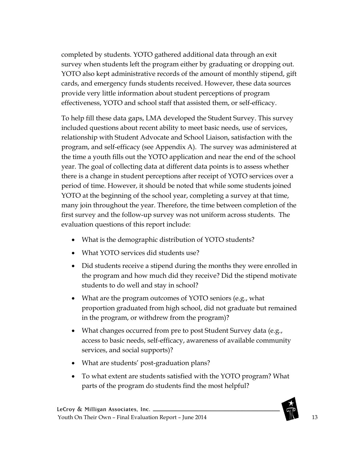completed by students. YOTO gathered additional data through an exit survey when students left the program either by graduating or dropping out. YOTO also kept administrative records of the amount of monthly stipend, gift cards, and emergency funds students received. However, these data sources provide very little information about student perceptions of program effectiveness, YOTO and school staff that assisted them, or self-efficacy.

To help fill these data gaps, LMA developed the Student Survey. This survey included questions about recent ability to meet basic needs, use of services, relationship with Student Advocate and School Liaison, satisfaction with the program, and self-efficacy (see Appendix A). The survey was administered at the time a youth fills out the YOTO application and near the end of the school year. The goal of collecting data at different data points is to assess whether there is a change in student perceptions after receipt of YOTO services over a period of time. However, it should be noted that while some students joined YOTO at the beginning of the school year, completing a survey at that time, many join throughout the year. Therefore, the time between completion of the first survey and the follow-up survey was not uniform across students. The evaluation questions of this report include:

- What is the demographic distribution of YOTO students?
- What YOTO services did students use?
- Did students receive a stipend during the months they were enrolled in the program and how much did they receive? Did the stipend motivate students to do well and stay in school?
- What are the program outcomes of YOTO seniors (e.g., what proportion graduated from high school, did not graduate but remained in the program, or withdrew from the program)?
- What changes occurred from pre to post Student Survey data (e.g., access to basic needs, self-efficacy, awareness of available community services, and social supports)?
- What are students' post-graduation plans?
- To what extent are students satisfied with the YOTO program? What parts of the program do students find the most helpful?

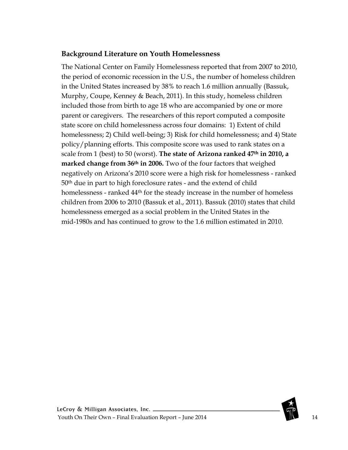### <span id="page-13-0"></span>**Background Literature on Youth Homelessness**

The National Center on Family Homelessness reported that from 2007 to 2010, the period of economic recession in the U.S., the number of homeless children in the United States increased by 38% to reach 1.6 million annually (Bassuk, Murphy, Coupe, Kenney & Beach, 2011). In this study, homeless children included those from birth to age 18 who are accompanied by one or more parent or caregivers. The researchers of this report computed a composite state score on child homelessness across four domains: 1) Extent of child homelessness; 2) Child well-being; 3) Risk for child homelessness; and 4) State policy/planning efforts. This composite score was used to rank states on a scale from 1 (best) to 50 (worst). **The state of Arizona ranked 47th in 2010, a marked change from 36th in 2006.** Two of the four factors that weighed negatively on Arizona's 2010 score were a high risk for homelessness - ranked 50th due in part to high foreclosure rates - and the extend of child homelessness - ranked 44<sup>th</sup> for the steady increase in the number of homeless children from 2006 to 2010 (Bassuk et al., 2011). Bassuk (2010) states that child homelessness emerged as a social problem in the United States in the mid-1980s and has continued to grow to the 1.6 million estimated in 2010.

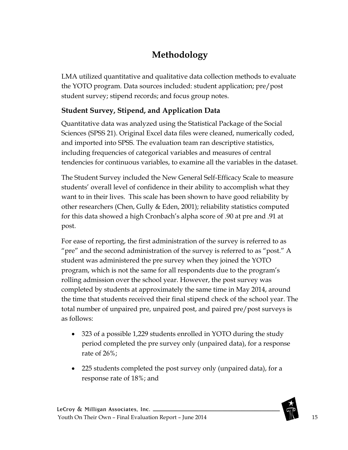# **Methodology**

<span id="page-14-0"></span>LMA utilized quantitative and qualitative data collection methods to evaluate the YOTO program. Data sources included: student application; pre/post student survey; stipend records; and focus group notes.

### <span id="page-14-1"></span>**Student Survey, Stipend, and Application Data**

Quantitative data was analyzed using the Statistical Package of the Social Sciences (SPSS 21). Original Excel data files were cleaned, numerically coded, and imported into SPSS. The evaluation team ran descriptive statistics, including frequencies of categorical variables and measures of central tendencies for continuous variables, to examine all the variables in the dataset.

The Student Survey included the New General Self-Efficacy Scale to measure students' overall level of confidence in their ability to accomplish what they want to in their lives. This scale has been shown to have good reliability by other researchers (Chen, Gully & Eden, 2001); reliability statistics computed for this data showed a high Cronbach's alpha score of .90 at pre and .91 at post.

For ease of reporting, the first administration of the survey is referred to as "pre" and the second administration of the survey is referred to as "post." A student was administered the pre survey when they joined the YOTO program, which is not the same for all respondents due to the program's rolling admission over the school year. However, the post survey was completed by students at approximately the same time in May 2014, around the time that students received their final stipend check of the school year. The total number of unpaired pre, unpaired post, and paired pre/post surveys is as follows:

- 323 of a possible 1,229 students enrolled in YOTO during the study period completed the pre survey only (unpaired data), for a response rate of 26%;
- 225 students completed the post survey only (unpaired data), for a response rate of 18%; and

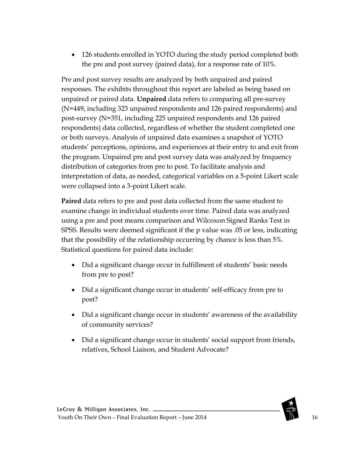• 126 students enrolled in YOTO during the study period completed both the pre and post survey (paired data), for a response rate of 10%.

Pre and post survey results are analyzed by both unpaired and paired responses. The exhibits throughout this report are labeled as being based on unpaired or paired data. **Unpaired** data refers to comparing all pre-survey (N=449, including 323 unpaired respondents and 126 paired respondents) and post-survey (N=351, including 225 unpaired respondents and 126 paired respondents) data collected, regardless of whether the student completed one or both surveys. Analysis of unpaired data examines a snapshot of YOTO students' perceptions, opinions, and experiences at their entry to and exit from the program. Unpaired pre and post survey data was analyzed by frequency distribution of categories from pre to post. To facilitate analysis and interpretation of data, as needed, categorical variables on a 5-point Likert scale were collapsed into a 3-point Likert scale.

**Paired** data refers to pre and post data collected from the same student to examine change in individual students over time. Paired data was analyzed using a pre and post means comparison and Wilcoxon Signed Ranks Test in SPSS. Results were deemed significant if the p value was .05 or less, indicating that the possibility of the relationship occurring by chance is less than 5%. Statistical questions for paired data include:

- Did a significant change occur in fulfillment of students' basic needs from pre to post?
- Did a significant change occur in students' self-efficacy from pre to post?
- Did a significant change occur in students' awareness of the availability of community services?
- Did a significant change occur in students' social support from friends, relatives, School Liaison, and Student Advocate?

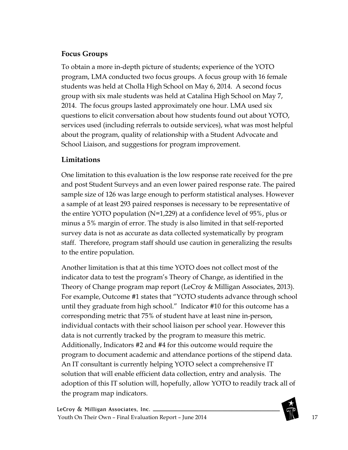### <span id="page-16-0"></span>**Focus Groups**

To obtain a more in-depth picture of students; experience of the YOTO program, LMA conducted two focus groups. A focus group with 16 female students was held at Cholla High School on May 6, 2014. A second focus group with six male students was held at Catalina High School on May 7, 2014. The focus groups lasted approximately one hour. LMA used six questions to elicit conversation about how students found out about YOTO, services used (including referrals to outside services), what was most helpful about the program, quality of relationship with a Student Advocate and School Liaison, and suggestions for program improvement.

### <span id="page-16-1"></span>**Limitations**

One limitation to this evaluation is the low response rate received for the pre and post Student Surveys and an even lower paired response rate. The paired sample size of 126 was large enough to perform statistical analyses. However a sample of at least 293 paired responses is necessary to be representative of the entire YOTO population (N=1,229) at a confidence level of 95%, plus or minus a 5% margin of error. The study is also limited in that self-reported survey data is not as accurate as data collected systematically by program staff. Therefore, program staff should use caution in generalizing the results to the entire population.

Another limitation is that at this time YOTO does not collect most of the indicator data to test the program's Theory of Change, as identified in the Theory of Change program map report (LeCroy & Milligan Associates, 2013). For example, Outcome #1 states that "YOTO students advance through school until they graduate from high school." Indicator #10 for this outcome has a corresponding metric that 75% of student have at least nine in-person, individual contacts with their school liaison per school year. However this data is not currently tracked by the program to measure this metric. Additionally, Indicators #2 and #4 for this outcome would require the program to document academic and attendance portions of the stipend data. An IT consultant is currently helping YOTO select a comprehensive IT solution that will enable efficient data collection, entry and analysis. The adoption of this IT solution will, hopefully, allow YOTO to readily track all of the program map indicators.

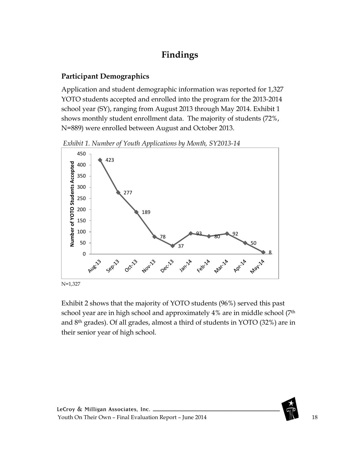# **Findings**

### <span id="page-17-1"></span><span id="page-17-0"></span>**Participant Demographics**

Application and student demographic information was reported for 1,327 YOTO students accepted and enrolled into the program for the 2013-2014 school year (SY), ranging from August 2013 through May 2014. Exhibit 1 shows monthly student enrollment data. The majority of students (72%, N=889) were enrolled between August and October 2013.

<span id="page-17-2"></span>*Exhibit 1. Number of Youth Applications by Month, SY2013-14*



Exhibit 2 shows that the majority of YOTO students (96%) served this past school year are in high school and approximately 4% are in middle school (7<sup>th</sup>) and 8th grades). Of all grades, almost a third of students in YOTO (32%) are in their senior year of high school.

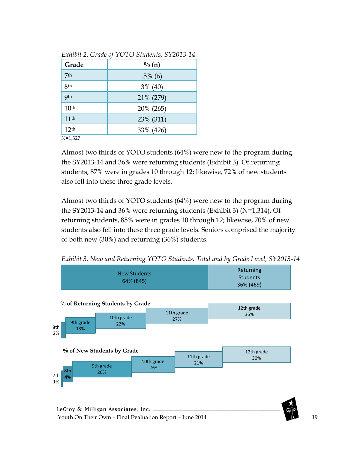| Grade            | $\frac{0}{0}$ (n) |
|------------------|-------------------|
| 7th              | $.5\%$ (6)        |
| 8 <sub>th</sub>  | $3\%$ (40)        |
| <b>9th</b>       | 21% (279)         |
| 10 <sup>th</sup> | 20% (265)         |
| 11 <sup>th</sup> | 23% (311)         |
| 12 <sup>th</sup> | 33% (426)         |
| $N=1,327$        |                   |

<span id="page-18-0"></span>*Exhibit 2. Grade of YOTO Students, SY2013-14*

Almost two thirds of YOTO students (64%) were new to the program during the SY2013-14 and 36% were returning students (Exhibit 3). Of returning students, 87% were in grades 10 through 12; likewise, 72% of new students also fell into these three grade levels.

Almost two thirds of YOTO students (64%) were new to the program during the SY2013-14 and 36% were returning students (Exhibit 3) (N=1,314). Of returning students, 85% were in grades 10 through 12; likewise, 70% of new students also fell into these three grade levels. Seniors comprised the majority of both new (30%) and returning (36%) students.



<span id="page-18-1"></span>*Exhibit 3. New and Returning YOTO Students, Total and by Grade Level, SY2013-14*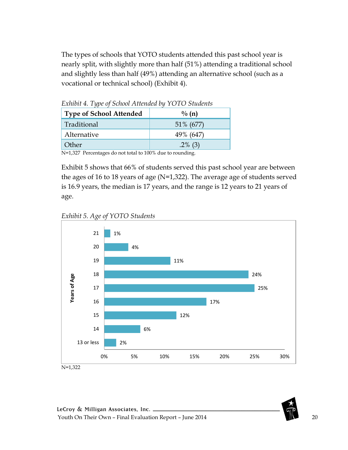The types of schools that YOTO students attended this past school year is nearly split, with slightly more than half (51%) attending a traditional school and slightly less than half (49%) attending an alternative school (such as a vocational or technical school) (Exhibit 4).

| Exhibit $4.$ Type of School Attended by $1 \cup 1 \cup 5$ tudents |                   |  |  |  |  |
|-------------------------------------------------------------------|-------------------|--|--|--|--|
| <b>Type of School Attended</b>                                    | $\frac{0}{0}$ (n) |  |  |  |  |
| Traditional                                                       | 51% (677)         |  |  |  |  |
| Alternative                                                       | 49% (647)         |  |  |  |  |
| Other                                                             | $.2\%$ (3)        |  |  |  |  |
|                                                                   |                   |  |  |  |  |

<span id="page-19-0"></span>*Exhibit 4. Type of School Attended by YOTO Students*

N=1,327 Percentages do not total to 100% due to rounding.

Exhibit 5 shows that 66% of students served this past school year are between the ages of 16 to 18 years of age (N=1,322). The average age of students served is 16.9 years, the median is 17 years, and the range is 12 years to 21 years of age.

<span id="page-19-1"></span>*Exhibit 5. Age of YOTO Students*

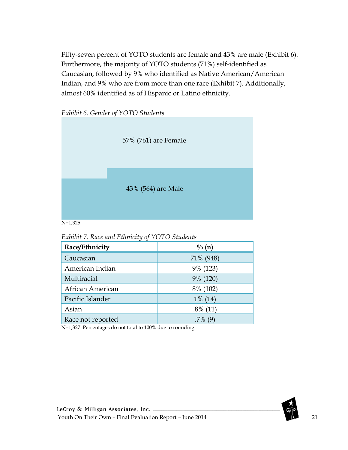Fifty-seven percent of YOTO students are female and 43% are male (Exhibit 6). Furthermore, the majority of YOTO students (71%) self-identified as Caucasian, followed by 9% who identified as Native American/American Indian, and 9% who are from more than one race (Exhibit 7). Additionally, almost 60% identified as of Hispanic or Latino ethnicity.

<span id="page-20-0"></span>



<span id="page-20-1"></span>*Exhibit 7. Race and Ethnicity of YOTO Students*

| Race/Ethnicity    | $\frac{0}{0}$ (n) |
|-------------------|-------------------|
| Caucasian         | 71% (948)         |
| American Indian   | 9% (123)          |
| Multiracial       | 9% (120)          |
| African American  | 8% (102)          |
| Pacific Islander  | $1\%$ (14)        |
| Asian             | $.8\%$ (11)       |
| Race not reported |                   |

N=1,327 Percentages do not total to 100% due to rounding.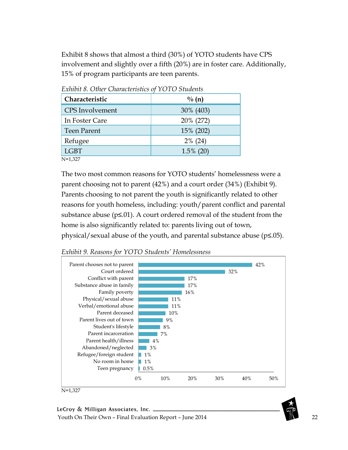Exhibit 8 shows that almost a third (30%) of YOTO students have CPS involvement and slightly over a fifth (20%) are in foster care. Additionally, 15% of program participants are teen parents.

| Characteristic         | $\frac{0}{0}$ (n) |  |  |
|------------------------|-------------------|--|--|
| <b>CPS</b> Involvement | 30% (403)         |  |  |
| In Foster Care         | 20% (272)         |  |  |
| <b>Teen Parent</b>     | 15% (202)         |  |  |
| Refugee                | $2\%$ (24)        |  |  |
| <b>LGBT</b>            | $1.5\%$ (20)      |  |  |
|                        |                   |  |  |

<span id="page-21-0"></span>*Exhibit 8. Other Characteristics of YOTO Students*

N=1,327

The two most common reasons for YOTO students' homelessness were a parent choosing not to parent (42%) and a court order (34%) (Exhibit 9). Parents choosing to not parent the youth is significantly related to other reasons for youth homeless, including: youth/parent conflict and parental substance abuse ( $p\leq 01$ ). A court ordered removal of the student from the home is also significantly related to: parents living out of town, physical/sexual abuse of the youth, and parental substance abuse (p≤.05).

<span id="page-21-1"></span>



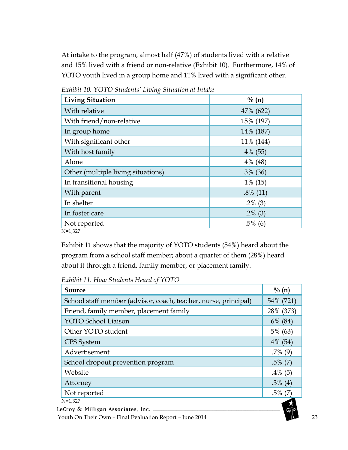At intake to the program, almost half (47%) of students lived with a relative and 15% lived with a friend or non-relative (Exhibit 10). Furthermore, 14% of YOTO youth lived in a group home and 11% lived with a significant other.

| <b>Living Situation</b>            | $\frac{0}{0}$ (n) |
|------------------------------------|-------------------|
| With relative                      | 47% (622)         |
| With friend/non-relative           | 15% (197)         |
| In group home                      | 14% (187)         |
| With significant other             | 11% (144)         |
| With host family                   | $4\%$ (55)        |
| Alone                              | $4\%$ (48)        |
| Other (multiple living situations) | 3% (36)           |
| In transitional housing            | $1\%$ (15)        |
| With parent                        | $.8\%$ (11)       |
| In shelter                         | $.2\%$ (3)        |
| In foster care                     | $.2\%$ (3)        |
| Not reported                       | $.5\%$ (6)        |
| $N=1,327$                          |                   |

<span id="page-22-0"></span>*Exhibit 10. YOTO Students' Living Situation at Intake*

Exhibit 11 shows that the majority of YOTO students (54%) heard about the program from a school staff member; about a quarter of them (28%) heard about it through a friend, family member, or placement family.

<span id="page-22-1"></span>*Exhibit 11. How Students Heard of YOTO*

| Source                                                          | $\frac{0}{6}$ (n) |
|-----------------------------------------------------------------|-------------------|
| School staff member (advisor, coach, teacher, nurse, principal) | 54% (721)         |
| Friend, family member, placement family                         | 28% (373)         |
| <b>YOTO School Liaison</b>                                      | $6\%$ (84)        |
| Other YOTO student                                              | 5% (63)           |
| CPS System                                                      | $4\%$ (54)        |
| Advertisement                                                   | $.7\%$ (9)        |
| School dropout prevention program                               | $.5\%$ (7)        |
| Website                                                         | $.4\%$ (5)        |
| Attorney                                                        | $.3\%$ (4)        |
| Not reported                                                    | $.5\%$ (7)        |
| $N=1,327$                                                       |                   |
| LeCroy & Milligan Associates, Inc. __                           |                   |
| Youth On Their Own - Final Evaluation Report - June 2014        |                   |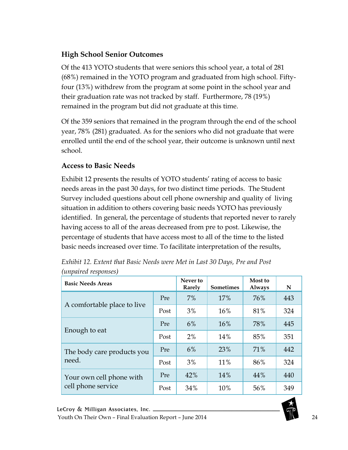## <span id="page-23-0"></span>**High School Senior Outcomes**

Of the 413 YOTO students that were seniors this school year, a total of 281 (68%) remained in the YOTO program and graduated from high school. Fiftyfour (13%) withdrew from the program at some point in the school year and their graduation rate was not tracked by staff. Furthermore, 78 (19%) remained in the program but did not graduate at this time.

Of the 359 seniors that remained in the program through the end of the school year, 78% (281) graduated. As for the seniors who did not graduate that were enrolled until the end of the school year, their outcome is unknown until next school.

## <span id="page-23-1"></span>**Access to Basic Needs**

Exhibit 12 presents the results of YOTO students' rating of access to basic needs areas in the past 30 days, for two distinct time periods. The Student Survey included questions about cell phone ownership and quality of living situation in addition to others covering basic needs YOTO has previously identified. In general, the percentage of students that reported never to rarely having access to all of the areas decreased from pre to post. Likewise, the percentage of students that have access most to all of the time to the listed basic needs increased over time. To facilitate interpretation of the results,

| <b>Basic Needs Areas</b>                       |      | Never to<br>Rarely | <b>Sometimes</b> | Most to<br><b>Always</b> | N   |
|------------------------------------------------|------|--------------------|------------------|--------------------------|-----|
|                                                | Pre  | $7\%$              | 17%              | 76%                      | 443 |
| A comfortable place to live                    | Post | 3%                 | 16%              | 81%                      | 324 |
| Enough to eat                                  | Pre  | 6%                 | 16%              | 78%                      | 445 |
|                                                | Post | 2%                 | 14%              | 85%                      | 351 |
| The body care products you<br>need.            | Pre  | 6%                 | 23%              | 71%                      | 442 |
|                                                | Post | 3%                 | 11%              | 86%                      | 324 |
| Your own cell phone with<br>cell phone service | Pre  | 42%                | 14%              | 44%                      | 440 |
|                                                | Post | 34%                | 10%              | 56%                      | 349 |

<span id="page-23-2"></span>*Exhibit 12. Extent that Basic Needs were Met in Last 30 Days, Pre and Post (unpaired responses)*

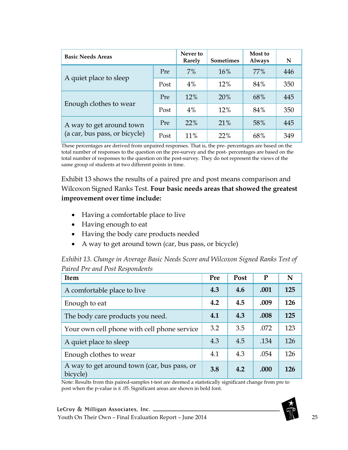| <b>Basic Needs Areas</b>                                  |      | Never to<br>Rarely | <b>Sometimes</b> | Most to<br><b>Always</b> | N   |
|-----------------------------------------------------------|------|--------------------|------------------|--------------------------|-----|
|                                                           | Pre  | 7%                 | 16%              | 77%                      | 446 |
| A quiet place to sleep                                    | Post | 4%                 | 12%              | 84%                      | 350 |
| Enough clothes to wear                                    | Pre  | 12%                | 20%              | 68%                      | 445 |
|                                                           | Post | 4%                 | 12%              | 84%                      | 350 |
| A way to get around town<br>(a car, bus pass, or bicycle) | Pre  | 22%                | 21%              | 58%                      | 445 |
|                                                           | Post | 11%                | 22%              | 68%                      | 349 |

These percentages are derived from unpaired responses. That is, the pre- percentages are based on the total number of responses to the question on the pre-survey and the post- percentages are based on the total number of responses to the question on the post-survey. They do not represent the views of the same group of students at two different points in time.

Exhibit 13 shows the results of a paired pre and post means comparison and Wilcoxon Signed Ranks Test. **Four basic needs areas that showed the greatest improvement over time include:**

- Having a comfortable place to live
- Having enough to eat
- Having the body care products needed
- A way to get around town (car, bus pass, or bicycle)

<span id="page-24-0"></span>

| Exhibit 13. Change in Average Basic Needs Score and Wilcoxon Signed Ranks Test of |  |
|-----------------------------------------------------------------------------------|--|
| Paired Pre and Post Respondents                                                   |  |

| <b>Item</b>                                             | Pre | Post | P    | N          |
|---------------------------------------------------------|-----|------|------|------------|
| A comfortable place to live                             | 4.3 | 4.6  | .001 | 125        |
| Enough to eat                                           | 4.2 | 4.5  | .009 | 126        |
| The body care products you need.                        | 4.1 | 4.3  | .008 | 125        |
| Your own cell phone with cell phone service             | 3.2 | 3.5  | .072 | 123        |
| A quiet place to sleep                                  | 4.3 | 4.5  | .134 | 126        |
| Enough clothes to wear                                  | 4.1 | 4.3  | .054 | 126        |
| A way to get around town (car, bus pass, or<br>bicycle) | 3.8 | 4.2  | .000 | <b>126</b> |

Note: Results from this paired-samples t-test are deemed a statistically significant change from pre to post when the p-value is ≤ .05. Significant areas are shown in bold font.

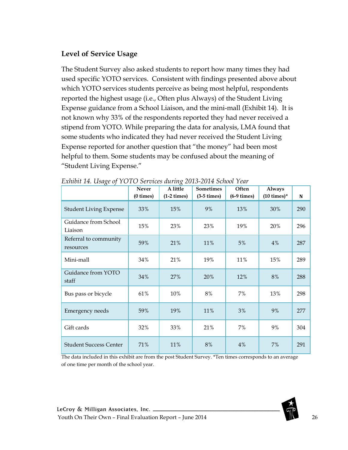### <span id="page-25-0"></span>**Level of Service Usage**

The Student Survey also asked students to report how many times they had used specific YOTO services. Consistent with findings presented above about which YOTO services students perceive as being most helpful, respondents reported the highest usage (i.e., Often plus Always) of the Student Living Expense guidance from a School Liaison, and the mini-mall (Exhibit 14). It is not known why 33% of the respondents reported they had never received a stipend from YOTO. While preparing the data for analysis, LMA found that some students who indicated they had never received the Student Living Expense reported for another question that "the money" had been most helpful to them. Some students may be confused about the meaning of "Student Living Expense."

| $O^{\sim}$                         | Never<br>$(0 \times)$ | $\circ$<br>A little<br>$(1-2 \times)$ | <b>Sometimes</b><br>$(3-5 \times)$ | Often<br>$(6-9 \times)$ | Always<br>$(10 \text{ times})^*$ | N   |
|------------------------------------|-----------------------|---------------------------------------|------------------------------------|-------------------------|----------------------------------|-----|
| <b>Student Living Expense</b>      | 33%                   | 15%                                   | 9%                                 | 13%                     | 30%                              | 290 |
| Guidance from School<br>Liaison    | 15%                   | 23%                                   | 23%                                | 19%                     | 20%                              | 296 |
| Referral to community<br>resources | 59%                   | 21%                                   | 11%                                | 5%                      | 4%                               | 287 |
| Mini-mall                          | 34%                   | 21%                                   | 19%                                | 11%                     | 15%                              | 289 |
| Guidance from YOTO<br>staff        | 34%                   | 27%                                   | 20%                                | 12%                     | $8\%$                            | 288 |
| Bus pass or bicycle                | 61%                   | 10%                                   | $8\%$                              | 7%                      | 13%                              | 298 |
| <b>Emergency needs</b>             | 59%                   | 19%                                   | 11%                                | 3%                      | 9%                               | 277 |
| Gift cards                         | 32%                   | 33%                                   | 21%                                | 7%                      | 9%                               | 304 |
| <b>Student Success Center</b>      | 71%                   | 11%                                   | $8\%$                              | 4%                      | $7\%$                            | 291 |

<span id="page-25-1"></span>*Exhibit 14. Usage of YOTO Services during 2013-2014 School Year*

The data included in this exhibit are from the post Student Survey. \*Ten times corresponds to an average of one time per month of the school year.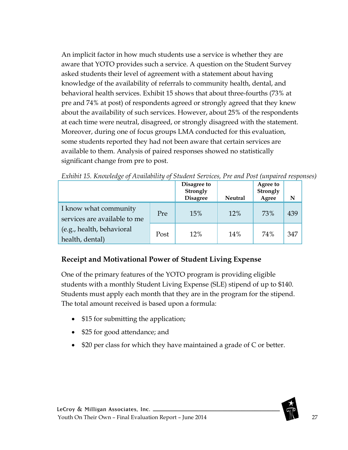An implicit factor in how much students use a service is whether they are aware that YOTO provides such a service. A question on the Student Survey asked students their level of agreement with a statement about having knowledge of the availability of referrals to community health, dental, and behavioral health services. Exhibit 15 shows that about three-fourths (73% at pre and 74% at post) of respondents agreed or strongly agreed that they knew about the availability of such services. However, about 25% of the respondents at each time were neutral, disagreed, or strongly disagreed with the statement. Moreover, during one of focus groups LMA conducted for this evaluation, some students reported they had not been aware that certain services are available to them. Analysis of paired responses showed no statistically significant change from pre to post.

|                                                       |      | Disagree to<br>Strongly<br><b>Disagree</b> | <b>Neutral</b> | <b>Agree to</b><br>Strongly<br>Agree | N   |
|-------------------------------------------------------|------|--------------------------------------------|----------------|--------------------------------------|-----|
| I know what community<br>services are available to me | Pre  | 15%                                        | 12%            | 73%                                  | 439 |
| (e.g., health, behavioral<br>health, dental)          | Post | 12%                                        | 14%            | 74%                                  | 347 |

<span id="page-26-1"></span>*Exhibit 15. Knowledge of Availability of Student Services, Pre and Post (unpaired responses)*

## <span id="page-26-0"></span>**Receipt and Motivational Power of Student Living Expense**

One of the primary features of the YOTO program is providing eligible students with a monthly Student Living Expense (SLE) stipend of up to \$140. Students must apply each month that they are in the program for the stipend. The total amount received is based upon a formula:

- \$15 for submitting the application;
- \$25 for good attendance; and
- \$20 per class for which they have maintained a grade of C or better.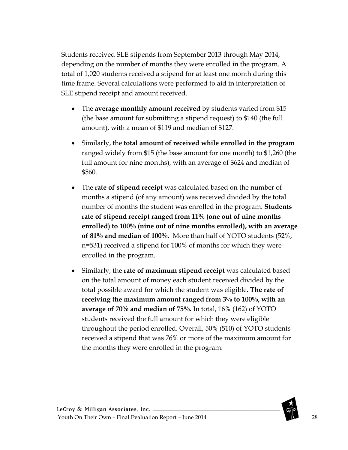Students received SLE stipends from September 2013 through May 2014, depending on the number of months they were enrolled in the program. A total of 1,020 students received a stipend for at least one month during this time frame. Several calculations were performed to aid in interpretation of SLE stipend receipt and amount received.

- The **average monthly amount received** by students varied from \$15 (the base amount for submitting a stipend request) to \$140 (the full amount), with a mean of \$119 and median of \$127.
- Similarly, the **total amount of received while enrolled in the program**  ranged widely from \$15 (the base amount for one month) to \$1,260 (the full amount for nine months), with an average of \$624 and median of \$560.
- The **rate of stipend receipt** was calculated based on the number of months a stipend (of any amount) was received divided by the total number of months the student was enrolled in the program. **Students rate of stipend receipt ranged from 11% (one out of nine months enrolled) to 100% (nine out of nine months enrolled), with an average of 81% and median of 100%.** More than half of YOTO students (52%, n=531) received a stipend for 100% of months for which they were enrolled in the program.
- Similarly, the **rate of maximum stipend receipt** was calculated based on the total amount of money each student received divided by the total possible award for which the student was eligible. **The rate of receiving the maximum amount ranged from 3% to 100%, with an average of 70% and median of 75%.** In total, 16% (162) of YOTO students received the full amount for which they were eligible throughout the period enrolled. Overall, 50% (510) of YOTO students received a stipend that was 76% or more of the maximum amount for the months they were enrolled in the program.

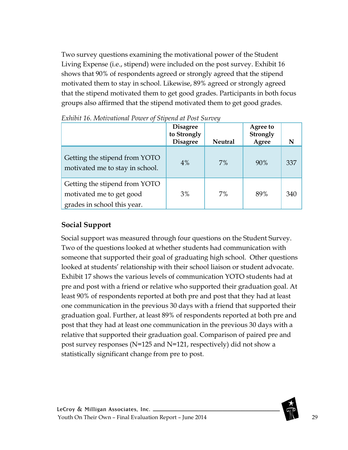Two survey questions examining the motivational power of the Student Living Expense (i.e., stipend) were included on the post survey. Exhibit 16 shows that 90% of respondents agreed or strongly agreed that the stipend motivated them to stay in school. Likewise, 89% agreed or strongly agreed that the stipend motivated them to get good grades. Participants in both focus groups also affirmed that the stipend motivated them to get good grades.

|                                                                                          | <b>Disagree</b><br>to Strongly<br><b>Disagree</b> | <b>Neutral</b> | Agree to<br><b>Strongly</b><br>Agree | N   |
|------------------------------------------------------------------------------------------|---------------------------------------------------|----------------|--------------------------------------|-----|
| Getting the stipend from YOTO<br>motivated me to stay in school.                         | 4%                                                | 7%             | 90%                                  | 337 |
| Getting the stipend from YOTO<br>motivated me to get good<br>grades in school this year. | 3%                                                | 7%             | 89%                                  | 340 |

<span id="page-28-1"></span>*Exhibit 16. Motivational Power of Stipend at Post Survey*

### <span id="page-28-0"></span>**Social Support**

Social support was measured through four questions on the Student Survey. Two of the questions looked at whether students had communication with someone that supported their goal of graduating high school. Other questions looked at students' relationship with their school liaison or student advocate. Exhibit 17 shows the various levels of communication YOTO students had at pre and post with a friend or relative who supported their graduation goal. At least 90% of respondents reported at both pre and post that they had at least one communication in the previous 30 days with a friend that supported their graduation goal. Further, at least 89% of respondents reported at both pre and post that they had at least one communication in the previous 30 days with a relative that supported their graduation goal. Comparison of paired pre and post survey responses (N=125 and N=121, respectively) did not show a statistically significant change from pre to post.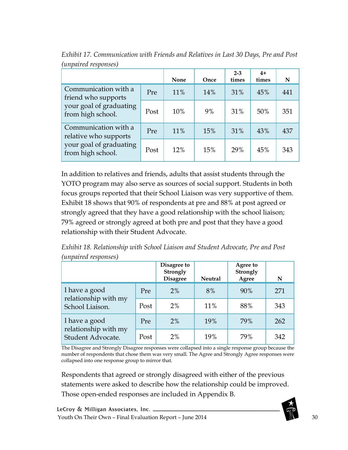|                                                      |      | None | Once | $2 - 3$<br>times | $4+$<br>times | N   |
|------------------------------------------------------|------|------|------|------------------|---------------|-----|
| Communication with a<br>friend who supports          | Pre  | 11%  | 14%  | 31%              | 45%           | 441 |
| your goal of graduating<br>Post<br>from high school. |      | 10%  | 9%   | 31%              | 50%           | 351 |
| Communication with a<br>relative who supports        | Pre  | 11%  | 15%  | 31%              | 43%           | 437 |
| your goal of graduating<br>from high school.         | Post | 12%  | 15%  | 29%              | 45%           | 343 |

<span id="page-29-0"></span>*Exhibit 17. Communication with Friends and Relatives in Last 30 Days, Pre and Post (unpaired responses)*

In addition to relatives and friends, adults that assist students through the YOTO program may also serve as sources of social support. Students in both focus groups reported that their School Liaison was very supportive of them. Exhibit 18 shows that 90% of respondents at pre and 88% at post agreed or strongly agreed that they have a good relationship with the school liaison; 79% agreed or strongly agreed at both pre and post that they have a good relationship with their Student Advocate.

<span id="page-29-1"></span>*Exhibit 18. Relationship with School Liaison and Student Advocate, Pre and Post (unpaired responses)*

|                                           |      | Disagree to<br>Strongly<br><b>Disagree</b> | <b>Neutral</b> | Agree to<br>Strongly<br>Agree | N   |
|-------------------------------------------|------|--------------------------------------------|----------------|-------------------------------|-----|
| I have a good<br>relationship with my     | Pre  | $2\%$                                      | 8%             | 90%                           | 271 |
| School Liaison.                           | Post | 2%                                         | 11%            | 88%                           | 343 |
| I have a good                             | Pre  | 2%                                         | 19%            | 79%                           | 262 |
| relationship with my<br>Student Advocate. | Post | $2\%$                                      | 19%            | 79%                           | 342 |

The Disagree and Strongly Disagree responses were collapsed into a single response group because the number of respondents that chose them was very small. The Agree and Strongly Agree responses were collapsed into one response group to mirror that.

Respondents that agreed or strongly disagreed with either of the previous statements were asked to describe how the relationship could be improved. Those open-ended responses are included in Appendix B.

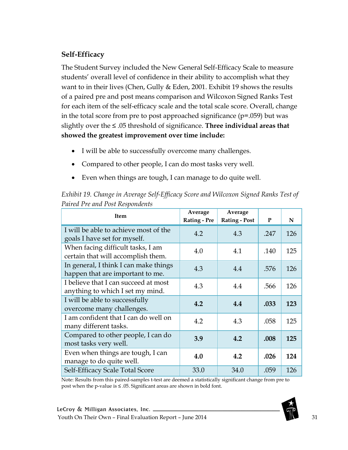### <span id="page-30-0"></span>**Self-Efficacy**

The Student Survey included the New General Self-Efficacy Scale to measure students' overall level of confidence in their ability to accomplish what they want to in their lives (Chen, Gully & Eden, 2001. Exhibit 19 shows the results of a paired pre and post means comparison and Wilcoxon Signed Ranks Test for each item of the self-efficacy scale and the total scale score. Overall, change in the total score from pre to post approached significance (p=.059) but was slightly over the ≤ .05 threshold of significance. **Three individual areas that showed the greatest improvement over time include:** 

- I will be able to successfully overcome many challenges.
- Compared to other people, I can do most tasks very well.
- Even when things are tough, I can manage to do quite well.

| <b>Item</b>                                                               | Average<br><b>Rating - Pre</b> | Average<br><b>Rating - Post</b> | P    | N   |
|---------------------------------------------------------------------------|--------------------------------|---------------------------------|------|-----|
| I will be able to achieve most of the<br>goals I have set for myself.     | 4.2                            | 4.3                             | .247 | 126 |
| When facing difficult tasks, I am<br>certain that will accomplish them.   | 4.0                            | 4.1                             | .140 | 125 |
| In general, I think I can make things<br>happen that are important to me. | 4.3                            | 4.4                             | .576 | 126 |
| I believe that I can succeed at most<br>anything to which I set my mind.  | 4.3                            | 4.4                             | .566 | 126 |
| I will be able to successfully<br>overcome many challenges.               | 4.2                            | 4.4                             | .033 | 123 |
| I am confident that I can do well on<br>many different tasks.             | 4.2                            | 4.3                             | .058 | 125 |
| Compared to other people, I can do<br>most tasks very well.               | 3.9                            | 4.2                             | .008 | 125 |
| Even when things are tough, I can<br>manage to do quite well.             | 4.0                            | 4.2                             | .026 | 124 |
| Self-Efficacy Scale Total Score                                           | 33.0                           | 34.0                            | .059 | 126 |

<span id="page-30-1"></span>*Exhibit 19. Change in Average Self-Efficacy Score and Wilcoxon Signed Ranks Test of Paired Pre and Post Respondents*

Note: Results from this paired-samples t-test are deemed a statistically significant change from pre to post when the p-value is ≤ .05. Significant areas are shown in bold font.

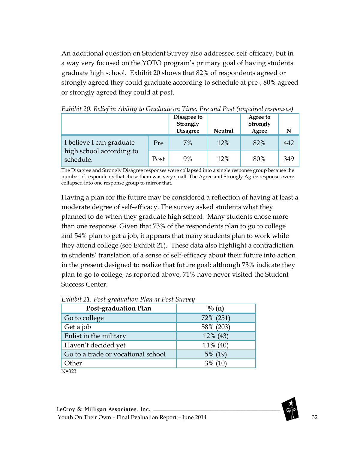An additional question on Student Survey also addressed self-efficacy, but in a way very focused on the YOTO program's primary goal of having students graduate high school. Exhibit 20 shows that 82% of respondents agreed or strongly agreed they could graduate according to schedule at pre-; 80% agreed or strongly agreed they could at post.

|                                       |      | Disagree to<br>Strongly<br><b>Disagree</b> | <b>Neutral</b> | Agree to<br>Strongly<br>Agree |     |
|---------------------------------------|------|--------------------------------------------|----------------|-------------------------------|-----|
| I believe I can graduate              | Pre  | 7%                                         | 12%            | 82%                           | 442 |
| high school according to<br>schedule. | Post | 9%                                         | 12%            | 80%                           | 349 |

<span id="page-31-0"></span>*Exhibit 20. Belief in Ability to Graduate on Time, Pre and Post (unpaired responses)*

The Disagree and Strongly Disagree responses were collapsed into a single response group because the number of respondents that chose them was very small. The Agree and Strongly Agree responses were collapsed into one response group to mirror that.

Having a plan for the future may be considered a reflection of having at least a moderate degree of self-efficacy. The survey asked students what they planned to do when they graduate high school. Many students chose more than one response. Given that 73% of the respondents plan to go to college and 54% plan to get a job, it appears that many students plan to work while they attend college (see Exhibit 21). These data also highlight a contradiction in students' translation of a sense of self-efficacy about their future into action in the present designed to realize that future goal: although 73% indicate they plan to go to college, as reported above, 71% have never visited the Student Success Center.

| <b>Post-graduation Plan</b>        | $\frac{0}{0}$ (n) |
|------------------------------------|-------------------|
| Go to college                      | 72% (251)         |
| Get a job                          | 58% (203)         |
| Enlist in the military             | 12% (43)          |
| Haven't decided yet                | 11% (40)          |
| Go to a trade or vocational school | 5% (19)           |
| Other                              | $3\%$ (10)        |
| $N = 323$                          |                   |

<span id="page-31-1"></span>*Exhibit 21. Post-graduation Plan at Post Survey*

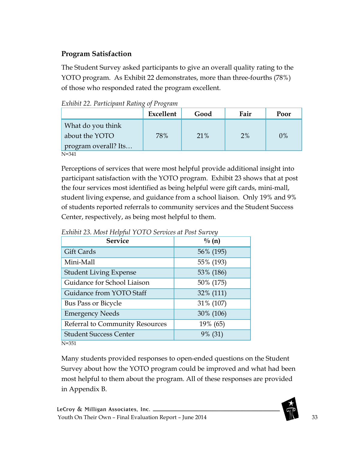## <span id="page-32-0"></span>**Program Satisfaction**

The Student Survey asked participants to give an overall quality rating to the YOTO program. As Exhibit 22 demonstrates, more than three-fourths (78%) of those who responded rated the program excellent.

<span id="page-32-1"></span>*Exhibit 22. Participant Rating of Program*

|                      | Excellent | Good | Fair | Poor |
|----------------------|-----------|------|------|------|
| What do you think    |           |      |      |      |
| about the YOTO       | 78%       | 21%  | 2%   | 0%   |
| program overall? Its |           |      |      |      |

N=341

Perceptions of services that were most helpful provide additional insight into participant satisfaction with the YOTO program. Exhibit 23 shows that at post the four services most identified as being helpful were gift cards, mini-mall, student living expense, and guidance from a school liaison. Only 19% and 9% of students reported referrals to community services and the Student Success Center, respectively, as being most helpful to them.

| <b>Service</b>                  | $\frac{0}{0}$ (n) |
|---------------------------------|-------------------|
| Gift Cards                      | 56% (195)         |
| Mini-Mall                       | 55% (193)         |
| <b>Student Living Expense</b>   | 53% (186)         |
| Guidance for School Liaison     | 50% (175)         |
| Guidance from YOTO Staff        | 32% (111)         |
| Bus Pass or Bicycle             | 31% (107)         |
| <b>Emergency Needs</b>          | 30% (106)         |
| Referral to Community Resources | 19% (65)          |
| <b>Student Success Center</b>   | 9% (31)           |
| $N = 351$                       |                   |

<span id="page-32-2"></span>*Exhibit 23. Most Helpful YOTO Services at Post Survey* 

Many students provided responses to open-ended questions on the Student Survey about how the YOTO program could be improved and what had been most helpful to them about the program. All of these responses are provided in Appendix B.

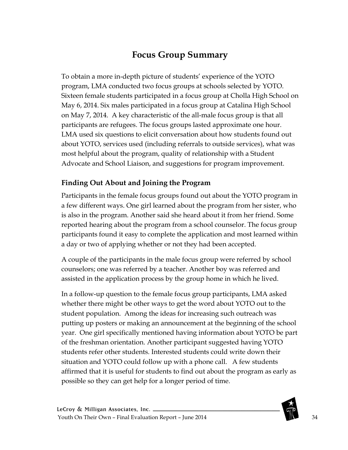# **Focus Group Summary**

<span id="page-33-0"></span>To obtain a more in-depth picture of students' experience of the YOTO program, LMA conducted two focus groups at schools selected by YOTO. Sixteen female students participated in a focus group at Cholla High School on May 6, 2014. Six males participated in a focus group at Catalina High School on May 7, 2014. A key characteristic of the all-male focus group is that all participants are refugees. The focus groups lasted approximate one hour. LMA used six questions to elicit conversation about how students found out about YOTO, services used (including referrals to outside services), what was most helpful about the program, quality of relationship with a Student Advocate and School Liaison, and suggestions for program improvement.

#### <span id="page-33-1"></span>**Finding Out About and Joining the Program**

Participants in the female focus groups found out about the YOTO program in a few different ways. One girl learned about the program from her sister, who is also in the program. Another said she heard about it from her friend. Some reported hearing about the program from a school counselor. The focus group participants found it easy to complete the application and most learned within a day or two of applying whether or not they had been accepted.

A couple of the participants in the male focus group were referred by school counselors; one was referred by a teacher. Another boy was referred and assisted in the application process by the group home in which he lived.

In a follow-up question to the female focus group participants, LMA asked whether there might be other ways to get the word about YOTO out to the student population. Among the ideas for increasing such outreach was putting up posters or making an announcement at the beginning of the school year. One girl specifically mentioned having information about YOTO be part of the freshman orientation. Another participant suggested having YOTO students refer other students. Interested students could write down their situation and YOTO could follow up with a phone call. A few students affirmed that it is useful for students to find out about the program as early as possible so they can get help for a longer period of time.

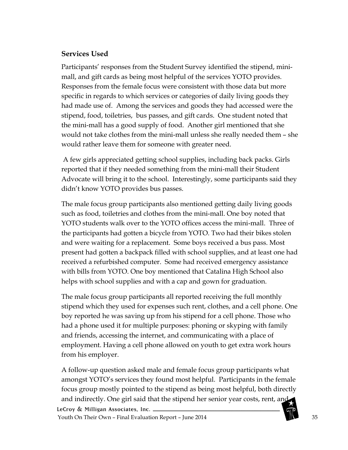#### <span id="page-34-0"></span>**Services Used**

Participants' responses from the Student Survey identified the stipend, minimall, and gift cards as being most helpful of the services YOTO provides. Responses from the female focus were consistent with those data but more specific in regards to which services or categories of daily living goods they had made use of. Among the services and goods they had accessed were the stipend, food, toiletries, bus passes, and gift cards. One student noted that the mini-mall has a good supply of food. Another girl mentioned that she would not take clothes from the mini-mall unless she really needed them – she would rather leave them for someone with greater need.

A few girls appreciated getting school supplies, including back packs. Girls reported that if they needed something from the mini-mall their Student Advocate will bring it to the school. Interestingly, some participants said they didn't know YOTO provides bus passes.

The male focus group participants also mentioned getting daily living goods such as food, toiletries and clothes from the mini-mall. One boy noted that YOTO students walk over to the YOTO offices access the mini-mall. Three of the participants had gotten a bicycle from YOTO. Two had their bikes stolen and were waiting for a replacement. Some boys received a bus pass. Most present had gotten a backpack filled with school supplies, and at least one had received a refurbished computer. Some had received emergency assistance with bills from YOTO. One boy mentioned that Catalina High School also helps with school supplies and with a cap and gown for graduation.

The male focus group participants all reported receiving the full monthly stipend which they used for expenses such rent, clothes, and a cell phone. One boy reported he was saving up from his stipend for a cell phone. Those who had a phone used it for multiple purposes: phoning or skyping with family and friends, accessing the internet, and communicating with a place of employment. Having a cell phone allowed on youth to get extra work hours from his employer.

A follow-up question asked male and female focus group participants what amongst YOTO's services they found most helpful. Participants in the female focus group mostly pointed to the stipend as being most helpful, both directly and indirectly. One girl said that the stipend her senior year costs, rent, and LeCroy & Milligan Associates, Inc. \_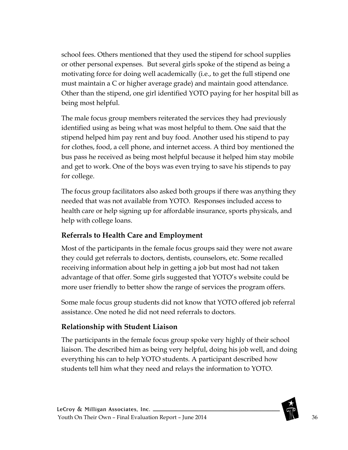school fees. Others mentioned that they used the stipend for school supplies or other personal expenses. But several girls spoke of the stipend as being a motivating force for doing well academically (i.e., to get the full stipend one must maintain a C or higher average grade) and maintain good attendance. Other than the stipend, one girl identified YOTO paying for her hospital bill as being most helpful.

The male focus group members reiterated the services they had previously identified using as being what was most helpful to them. One said that the stipend helped him pay rent and buy food. Another used his stipend to pay for clothes, food, a cell phone, and internet access. A third boy mentioned the bus pass he received as being most helpful because it helped him stay mobile and get to work. One of the boys was even trying to save his stipends to pay for college.

The focus group facilitators also asked both groups if there was anything they needed that was not available from YOTO. Responses included access to health care or help signing up for affordable insurance, sports physicals, and help with college loans.

## <span id="page-35-0"></span>**Referrals to Health Care and Employment**

Most of the participants in the female focus groups said they were not aware they could get referrals to doctors, dentists, counselors, etc. Some recalled receiving information about help in getting a job but most had not taken advantage of that offer. Some girls suggested that YOTO's website could be more user friendly to better show the range of services the program offers.

Some male focus group students did not know that YOTO offered job referral assistance. One noted he did not need referrals to doctors.

### <span id="page-35-1"></span>**Relationship with Student Liaison**

The participants in the female focus group spoke very highly of their school liaison. The described him as being very helpful, doing his job well, and doing everything his can to help YOTO students. A participant described how students tell him what they need and relays the information to YOTO.

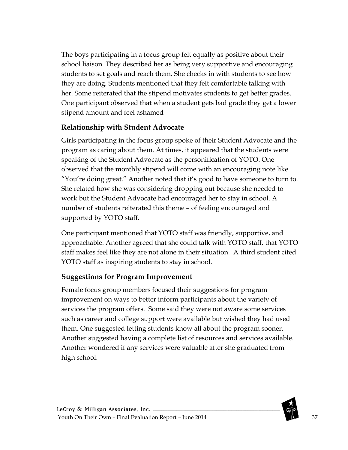The boys participating in a focus group felt equally as positive about their school liaison. They described her as being very supportive and encouraging students to set goals and reach them. She checks in with students to see how they are doing. Students mentioned that they felt comfortable talking with her. Some reiterated that the stipend motivates students to get better grades. One participant observed that when a student gets bad grade they get a lower stipend amount and feel ashamed

## **Relationship with Student Advocate**

Girls participating in the focus group spoke of their Student Advocate and the program as caring about them. At times, it appeared that the students were speaking of the Student Advocate as the personification of YOTO. One observed that the monthly stipend will come with an encouraging note like "You're doing great." Another noted that it's good to have someone to turn to. She related how she was considering dropping out because she needed to work but the Student Advocate had encouraged her to stay in school. A number of students reiterated this theme – of feeling encouraged and supported by YOTO staff.

One participant mentioned that YOTO staff was friendly, supportive, and approachable. Another agreed that she could talk with YOTO staff, that YOTO staff makes feel like they are not alone in their situation. A third student cited YOTO staff as inspiring students to stay in school.

## **Suggestions for Program Improvement**

Female focus group members focused their suggestions for program improvement on ways to better inform participants about the variety of services the program offers. Some said they were not aware some services such as career and college support were available but wished they had used them. One suggested letting students know all about the program sooner. Another suggested having a complete list of resources and services available. Another wondered if any services were valuable after she graduated from high school.

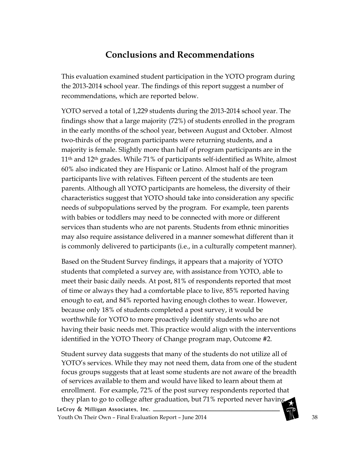# **Conclusions and Recommendations**

This evaluation examined student participation in the YOTO program during the 2013-2014 school year. The findings of this report suggest a number of recommendations, which are reported below.

YOTO served a total of 1,229 students during the 2013-2014 school year. The findings show that a large majority (72%) of students enrolled in the program in the early months of the school year, between August and October. Almost two-thirds of the program participants were returning students, and a majority is female. Slightly more than half of program participants are in the 11th and 12th grades. While 71% of participants self-identified as White, almost 60% also indicated they are Hispanic or Latino. Almost half of the program participants live with relatives. Fifteen percent of the students are teen parents. Although all YOTO participants are homeless, the diversity of their characteristics suggest that YOTO should take into consideration any specific needs of subpopulations served by the program. For example, teen parents with babies or toddlers may need to be connected with more or different services than students who are not parents. Students from ethnic minorities may also require assistance delivered in a manner somewhat different than it is commonly delivered to participants (i.e., in a culturally competent manner).

Based on the Student Survey findings, it appears that a majority of YOTO students that completed a survey are, with assistance from YOTO, able to meet their basic daily needs. At post, 81% of respondents reported that most of time or always they had a comfortable place to live, 85% reported having enough to eat, and 84% reported having enough clothes to wear. However, because only 18% of students completed a post survey, it would be worthwhile for YOTO to more proactively identify students who are not having their basic needs met. This practice would align with the interventions identified in the YOTO Theory of Change program map, Outcome #2.

Student survey data suggests that many of the students do not utilize all of YOTO's services. While they may not need them, data from one of the student focus groups suggests that at least some students are not aware of the breadth of services available to them and would have liked to learn about them at enrollment. For example, 72% of the post survey respondents reported that they plan to go to college after graduation, but 71% reported never having LeCroy & Milligan Associates, Inc. \_

Youth On Their Own – Final Evaluation Report – June 2014 **38** 38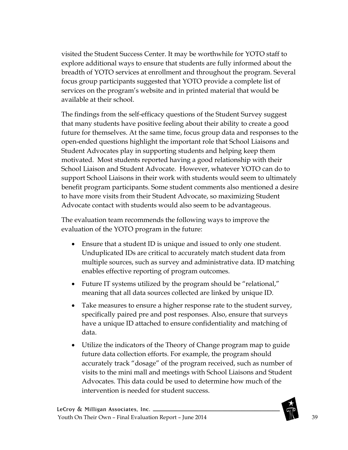visited the Student Success Center. It may be worthwhile for YOTO staff to explore additional ways to ensure that students are fully informed about the breadth of YOTO services at enrollment and throughout the program. Several focus group participants suggested that YOTO provide a complete list of services on the program's website and in printed material that would be available at their school.

The findings from the self-efficacy questions of the Student Survey suggest that many students have positive feeling about their ability to create a good future for themselves. At the same time, focus group data and responses to the open-ended questions highlight the important role that School Liaisons and Student Advocates play in supporting students and helping keep them motivated. Most students reported having a good relationship with their School Liaison and Student Advocate. However, whatever YOTO can do to support School Liaisons in their work with students would seem to ultimately benefit program participants. Some student comments also mentioned a desire to have more visits from their Student Advocate, so maximizing Student Advocate contact with students would also seem to be advantageous.

The evaluation team recommends the following ways to improve the evaluation of the YOTO program in the future:

- Ensure that a student ID is unique and issued to only one student. Unduplicated IDs are critical to accurately match student data from multiple sources, such as survey and administrative data. ID matching enables effective reporting of program outcomes.
- Future IT systems utilized by the program should be "relational," meaning that all data sources collected are linked by unique ID.
- Take measures to ensure a higher response rate to the student survey, specifically paired pre and post responses. Also, ensure that surveys have a unique ID attached to ensure confidentiality and matching of data.
- Utilize the indicators of the Theory of Change program map to guide future data collection efforts. For example, the program should accurately track "dosage" of the program received, such as number of visits to the mini mall and meetings with School Liaisons and Student Advocates. This data could be used to determine how much of the intervention is needed for student success.

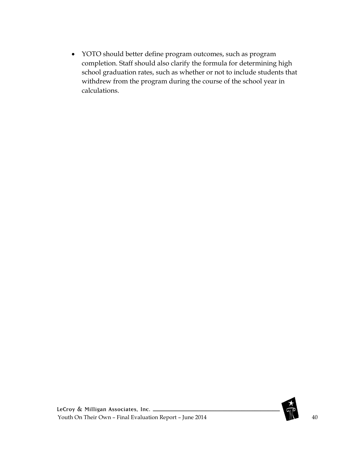• YOTO should better define program outcomes, such as program completion. Staff should also clarify the formula for determining high school graduation rates, such as whether or not to include students that withdrew from the program during the course of the school year in calculations.

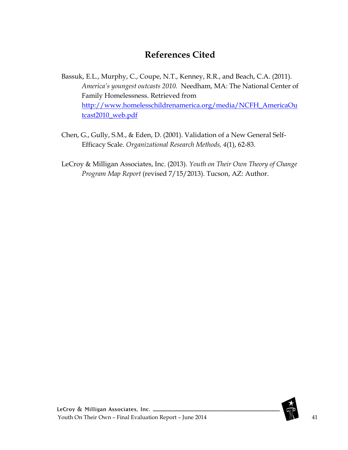# **References Cited**

Bassuk, E.L., Murphy, C., Coupe, N.T., Kenney, R.R., and Beach, C.A. (2011). *America's youngest outcasts 2010.* Needham, MA: The National Center of Family Homelessness. Retrieved from [http://www.homelesschildrenamerica.org/media/NCFH\\_AmericaOu](http://www.homelesschildrenamerica.org/media/NCFH_AmericaOutcast2010_web.pdf) [tcast2010\\_web.pdf](http://www.homelesschildrenamerica.org/media/NCFH_AmericaOutcast2010_web.pdf)

- Chen, G., Gully, S.M., & Eden, D. (2001). Validation of a New General Self-Efficacy Scale. *Organizational Research Methods, 4*(1), 62-83.
- LeCroy & Milligan Associates, Inc. (2013). *Youth on Their Own Theory of Change Program Map Report* (revised 7/15/2013). Tucson, AZ: Author.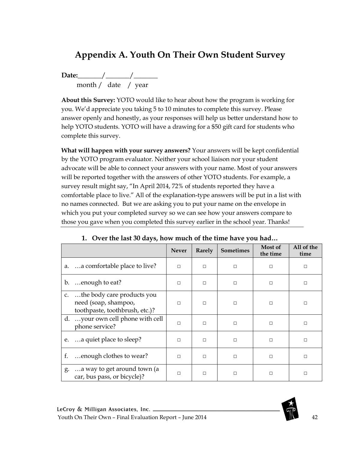# **Appendix A. Youth On Their Own Student Survey**

**Date:\_\_\_\_\_**\_\_/\_\_\_\_\_\_\_/\_**\_\_\_\_\_\_** month / date / year

**About this Survey:** YOTO would like to hear about how the program is working for you. We'd appreciate you taking 5 to 10 minutes to complete this survey. Please answer openly and honestly, as your responses will help us better understand how to help YOTO students. YOTO will have a drawing for a \$50 gift card for students who complete this survey.

**What will happen with your survey answers?** Your answers will be kept confidential by the YOTO program evaluator. Neither your school liaison nor your student advocate will be able to connect your answers with your name. Most of your answers will be reported together with the answers of other YOTO students. For example, a survey result might say, "In April 2014, 72% of students reported they have a comfortable place to live." All of the explanation-type answers will be put in a list with no names connected. But we are asking you to put your name on the envelope in which you put your completed survey so we can see how your answers compare to those you gave when you completed this survey earlier in the school year. Thanks!

|                |                                                                                      | <b>Never</b> | Rarely | <b>Sometimes</b> | Most of<br>the time | All of the<br>time |
|----------------|--------------------------------------------------------------------------------------|--------------|--------|------------------|---------------------|--------------------|
|                | a. a comfortable place to live?                                                      | $\Box$       | П      | $\Box$           | $\Box$              | □                  |
| $\mathbf{b}$ . | enough to eat?                                                                       | $\Box$       | $\Box$ | $\Box$           | $\Box$              | $\Box$             |
| C <sub>1</sub> | the body care products you<br>need (soap, shampoo,<br>toothpaste, toothbrush, etc.)? | П            | $\Box$ |                  | П                   |                    |
| d.             | your own cell phone with cell<br>phone service?                                      | $\Box$       | $\Box$ | $\Box$           | $\Box$              | □                  |
| e.             | a quiet place to sleep?                                                              | П            | $\Box$ | $\Box$           | $\Box$              | п                  |
| f.             | enough clothes to wear?                                                              | $\Box$       | П      | $\Box$           | $\Box$              | П                  |
| g.             | a way to get around town (a<br>car, bus pass, or bicycle)?                           | П            | $\Box$ | $\Box$           | $\Box$              | П                  |

### **1. Over the last 30 days, how much of the time have you had…**

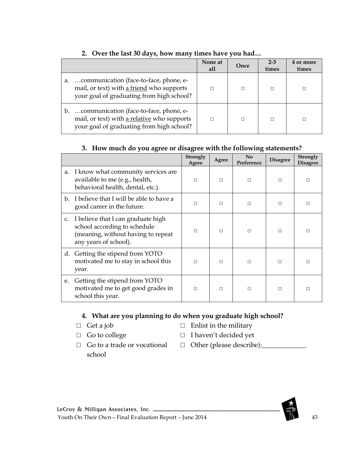|                                                                                                                                          | None at<br>all | Once | $2 - 3$<br>times | 4 or more<br>times |
|------------------------------------------------------------------------------------------------------------------------------------------|----------------|------|------------------|--------------------|
| communication (face-to-face, phone, e-<br>a.<br>mail, or text) with a friend who supports<br>your goal of graduating from high school?   |                |      | П                |                    |
| communication (face-to-face, phone, e-<br>b.<br>mail, or text) with a relative who supports<br>your goal of graduating from high school? |                |      | П                |                    |

## **2. Over the last 30 days, how many times have you had…**

#### **3. How much do you agree or disagree with the following statements?**

|                |                                                                                                                                   | Strongly<br>Agree | Agree  | $\mathbf{N}$ <sub>0</sub><br>Preference | <b>Disagree</b> | Strongly<br><b>Disagree</b> |
|----------------|-----------------------------------------------------------------------------------------------------------------------------------|-------------------|--------|-----------------------------------------|-----------------|-----------------------------|
| a.             | I know what community services are.<br>available to me (e.g., health,<br>behavioral health, dental, etc.).                        | П                 | П      | П                                       | П               | П                           |
| $\mathbf{b}$ . | I believe that I will be able to have a<br>good career in the future.                                                             | П                 | П      | П                                       | $\Box$          | П                           |
| C <sub>1</sub> | I believe that I can graduate high<br>school according to schedule<br>(meaning, without having to repeat<br>any years of school). | $\Box$            | $\Box$ | П                                       | $\Box$          | $\Box$                      |
|                | d. Getting the stipend from YOTO<br>motivated me to stay in school this<br>year.                                                  | $\Box$            | $\Box$ | П                                       | $\Box$          | П                           |
| e.             | Getting the stipend from YOTO<br>motivated me to get good grades in<br>school this year.                                          | $\Box$            | П      | □                                       | $\Box$          | П                           |

### **4. What are you planning to do when you graduate high school?**

- □ Get a job
- □ Go to college
- $\Box$  Enlist in the military
- □ I haven't decided yet
- □ Go to a trade or vocational school
- □ Other (please describe): <u></u>

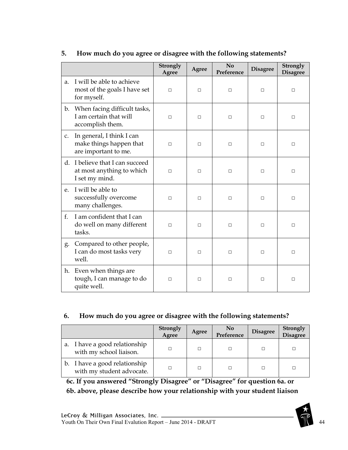|                |                                                                              | <b>Strongly</b><br>Agree | Agree  | No<br>Preference | <b>Disagree</b> | <b>Strongly</b><br><b>Disagree</b> |
|----------------|------------------------------------------------------------------------------|--------------------------|--------|------------------|-----------------|------------------------------------|
| a.             | I will be able to achieve<br>most of the goals I have set<br>for myself.     | $\Box$                   | $\Box$ | $\Box$           | $\Box$          | П                                  |
| $\mathbf{b}$ . | When facing difficult tasks,<br>I am certain that will<br>accomplish them.   | $\Box$                   | П      | □                | □               | П                                  |
| C <sub>1</sub> | In general, I think I can<br>make things happen that<br>are important to me. | $\Box$                   | $\Box$ | □                | □               | □                                  |
| d.             | I believe that I can succeed<br>at most anything to which<br>I set my mind.  | п                        | П      | $\Box$           | П               | П                                  |
| e.             | I will be able to<br>successfully overcome<br>many challenges.               | □                        | П      | П                | □               | П                                  |
| f.             | I am confident that I can<br>do well on many different<br>tasks.             | п                        | П      | □                | □               | □                                  |
| g.             | Compared to other people,<br>I can do most tasks very<br>well.               | п                        | П      | □                | П               | П                                  |
| h.             | Even when things are<br>tough, I can manage to do<br>quite well.             | п                        | П      | П                | $\Box$          | П                                  |

## **5. How much do you agree or disagree with the following statements?**

### **6. How much do you agree or disagree with the following statements?**

|                                                            | <b>Strongly</b><br>Agree | Agree | <b>No</b><br>Preference | <b>Disagree</b> | <b>Strongly</b><br>Disagree |
|------------------------------------------------------------|--------------------------|-------|-------------------------|-----------------|-----------------------------|
| a. I have a good relationship<br>with my school liaison.   | П                        |       |                         |                 |                             |
| b. I have a good relationship<br>with my student advocate. | П                        |       |                         |                 |                             |

**6c. If you answered "Strongly Disagree" or "Disagree" for question 6a. or 6b. above, please describe how your relationship with your student liaison** 

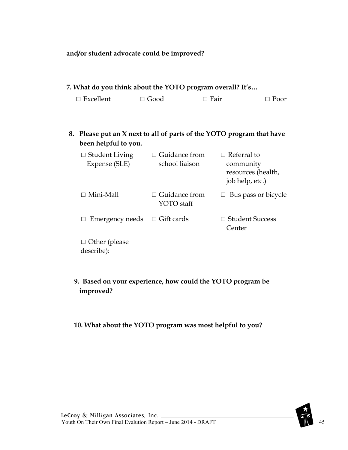### **and/or student advocate could be improved?**

| 7. What do you think about the YOTO program overall? It's |                                        |                                                                          |
|-----------------------------------------------------------|----------------------------------------|--------------------------------------------------------------------------|
| $\Box$ Excellent                                          | $\Box$ Good                            | $\Box$ Fair<br>$\Box$ Poor                                               |
| 8.<br>been helpful to you.                                |                                        | Please put an X next to all of parts of the YOTO program that have       |
| $\Box$ Student Living<br>Expense (SLE)                    | $\Box$ Guidance from<br>school liaison | $\Box$ Referral to<br>community<br>resources (health,<br>job help, etc.) |
| $\Box$ Mini-Mall                                          | $\Box$ Guidance from<br>YOTO staff     | $\Box$ Bus pass or bicycle                                               |
| Emergency needs<br>$\Box$                                 | $\Box$ Gift cards                      | $\Box$ Student Success<br>Center                                         |
| $\Box$ Other (please<br>describe):                        |                                        |                                                                          |

## **9. Based on your experience, how could the YOTO program be improved?**

## **10. What about the YOTO program was most helpful to you?**

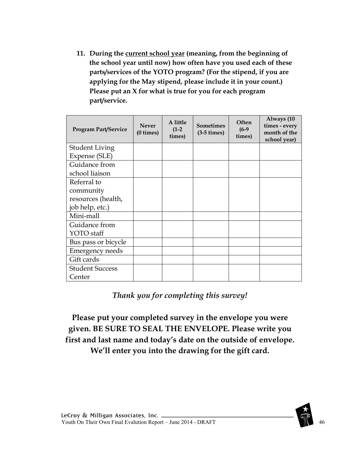**11. During the current school year (meaning, from the beginning of the school year until now) how often have you used each of these parts/services of the YOTO program? (For the stipend, if you are applying for the May stipend, please include it in your count.) Please put an X for what is true for you for each program part/service.**

| <b>Program Part/Service</b> | <b>Never</b><br>$(0 \times)$ | A little<br>$(1-2)$<br>times) | <b>Sometimes</b><br>$(3-5 \times)$ | Often<br>$(6-9)$<br>times) | Always (10<br>times - every<br>month of the<br>school year) |
|-----------------------------|------------------------------|-------------------------------|------------------------------------|----------------------------|-------------------------------------------------------------|
| <b>Student Living</b>       |                              |                               |                                    |                            |                                                             |
| Expense (SLE)               |                              |                               |                                    |                            |                                                             |
| Guidance from               |                              |                               |                                    |                            |                                                             |
| school liaison              |                              |                               |                                    |                            |                                                             |
| Referral to                 |                              |                               |                                    |                            |                                                             |
| community                   |                              |                               |                                    |                            |                                                             |
| resources (health,          |                              |                               |                                    |                            |                                                             |
| job help, etc.)             |                              |                               |                                    |                            |                                                             |
| Mini-mall                   |                              |                               |                                    |                            |                                                             |
| Guidance from               |                              |                               |                                    |                            |                                                             |
| YOTO staff                  |                              |                               |                                    |                            |                                                             |
| Bus pass or bicycle         |                              |                               |                                    |                            |                                                             |
| <b>Emergency needs</b>      |                              |                               |                                    |                            |                                                             |
| Gift cards                  |                              |                               |                                    |                            |                                                             |
| <b>Student Success</b>      |                              |                               |                                    |                            |                                                             |
| Center                      |                              |                               |                                    |                            |                                                             |

*Thank you for completing this survey!*

**Please put your completed survey in the envelope you were given. BE SURE TO SEAL THE ENVELOPE. Please write you first and last name and today's date on the outside of envelope. We'll enter you into the drawing for the gift card.**

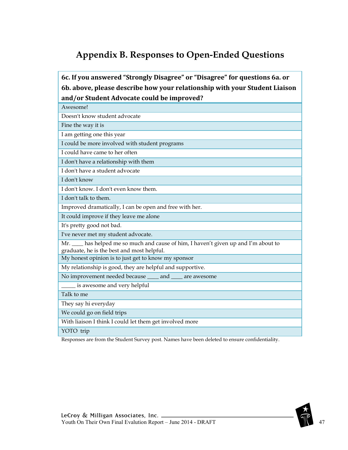# **Appendix B. Responses to Open-Ended Questions**

**6c. If you answered "Strongly Disagree" or "Disagree" for questions 6a. or 6b. above, please describe how your relationship with your Student Liaison and/or Student Advocate could be improved?**

| Awesome!                                                                                                                           |
|------------------------------------------------------------------------------------------------------------------------------------|
| Doesn't know student advocate                                                                                                      |
| Fine the way it is                                                                                                                 |
| I am getting one this year                                                                                                         |
| I could be more involved with student programs                                                                                     |
| I could have came to her often                                                                                                     |
| I don't have a relationship with them                                                                                              |
| I don't have a student advocate                                                                                                    |
| I don't know                                                                                                                       |
| I don't know. I don't even know them.                                                                                              |
| I don't talk to them.                                                                                                              |
| Improved dramatically, I can be open and free with her.                                                                            |
| It could improve if they leave me alone                                                                                            |
| It's pretty good not bad.                                                                                                          |
| I've never met my student advocate.                                                                                                |
| Mr. ____ has helped me so much and cause of him, I haven't given up and I'm about to<br>graduate, he is the best and most helpful. |
| My honest opinion is to just get to know my sponsor                                                                                |
| My relationship is good, they are helpful and supportive.                                                                          |
| No improvement needed because ____ and ____ are awesome                                                                            |
| is awesome and very helpful                                                                                                        |
| Talk to me                                                                                                                         |
| They say hi everyday                                                                                                               |
| We could go on field trips                                                                                                         |
| With liaison I think I could let them get involved more                                                                            |
| YOTO trip                                                                                                                          |

Responses are from the Student Survey post. Names have been deleted to ensure confidentiality.

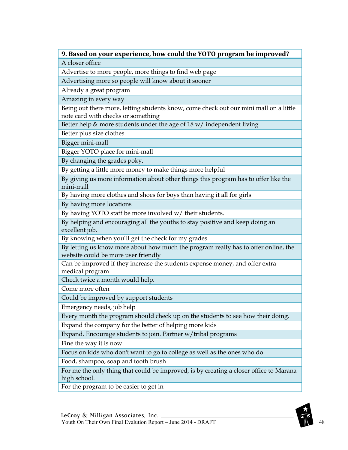A closer office

Advertise to more people, more things to find web page

Advertising more so people will know about it sooner

Already a great program

Amazing in every way

Being out there more, letting students know, come check out our mini mall on a little note card with checks or something

Better help  $\&$  more students under the age of 18 w/ independent living

Better plus size clothes

Bigger mini-mall

Bigger YOTO place for mini-mall

By changing the grades poky.

By getting a little more money to make things more helpful

By giving us more information about other things this program has to offer like the mini-mall

By having more clothes and shoes for boys than having it all for girls

By having more locations

By having YOTO staff be more involved w/ their students.

By helping and encouraging all the youths to stay positive and keep doing an excellent job.

By knowing when you'll get the check for my grades

By letting us know more about how much the program really has to offer online, the website could be more user friendly

Can be improved if they increase the students expense money, and offer extra medical program

Check twice a month would help.

Come more often

Could be improved by support students

Emergency needs, job help

Every month the program should check up on the students to see how their doing.

Expand the company for the better of helping more kids

Expand. Encourage students to join. Partner w/tribal programs

Fine the way it is now

Focus on kids who don't want to go to college as well as the ones who do.

Food, shampoo, soap and tooth brush

For me the only thing that could be improved, is by creating a closer office to Marana high school.

For the program to be easier to get in

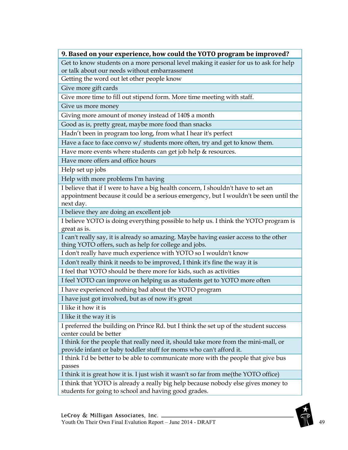Get to know students on a more personal level making it easier for us to ask for help or talk about our needs without embarrassment

Getting the word out let other people know

Give more gift cards

Give more time to fill out stipend form. More time meeting with staff.

Give us more money

Giving more amount of money instead of 140\$ a month

Good as is, pretty great, maybe more food than snacks

Hadn't been in program too long, from what I hear it's perfect

Have a face to face convo w/ students more often, try and get to know them.

Have more events where students can get job help & resources.

Have more offers and office hours

Help set up jobs

Help with more problems I'm having

I believe that if I were to have a big health concern, I shouldn't have to set an appointment because it could be a serious emergency, but I wouldn't be seen until the next day.

I believe they are doing an excellent job

I believe YOTO is doing everything possible to help us. I think the YOTO program is great as is.

I can't really say, it is already so amazing. Maybe having easier access to the other thing YOTO offers, such as help for college and jobs.

I don't really have much experience with YOTO so I wouldn't know

I don't really think it needs to be improved, I think it's fine the way it is

I feel that YOTO should be there more for kids, such as activities

I feel YOTO can improve on helping us as students get to YOTO more often

I have experienced nothing bad about the YOTO program

I have just got involved, but as of now it's great

I like it how it is

I like it the way it is

I preferred the building on Prince Rd. but I think the set up of the student success center could be better

I think for the people that really need it, should take more from the mini-mall, or provide infant or baby toddler stuff for moms who can't afford it.

I think I'd be better to be able to communicate more with the people that give bus passes

I think it is great how it is. I just wish it wasn't so far from me(the YOTO office)

I think that YOTO is already a really big help because nobody else gives money to students for going to school and having good grades.

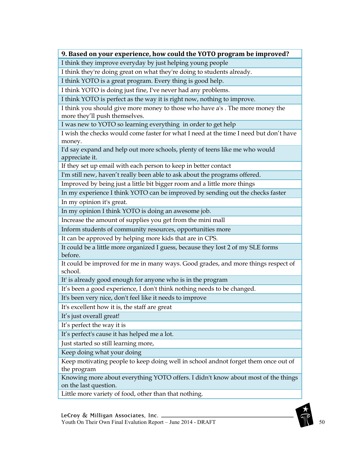I think they improve everyday by just helping young people

I think they're doing great on what they're doing to students already.

I think YOTO is a great program. Every thing is good help.

I think YOTO is doing just fine, I've never had any problems.

I think YOTO is perfect as the way it is right now, nothing to improve.

I think you should give more money to those who have a's . The more money the more they'll push themselves.

I was new to YOTO so learning everything in order to get help

I wish the checks would come faster for what I need at the time I need but don't have money.

I'd say expand and help out more schools, plenty of teens like me who would appreciate it.

If they set up email with each person to keep in better contact

I'm still new, haven't really been able to ask about the programs offered.

Improved by being just a little bit bigger room and a little more things

In my experience I think YOTO can be improved by sending out the checks faster

In my opinion it's great.

In my opinion I think YOTO is doing an awesome job.

Increase the amount of supplies you get from the mini mall

Inform students of community resources, opportunities more

It can be approved by helping more kids that are in CPS.

It could be a little more organized I guess, because they lost 2 of my SLE forms before.

It could be improved for me in many ways. Good grades, and more things respect of school.

It' is already good enough for anyone who is in the program

It's been a good experience, I don't think nothing needs to be changed.

It's been very nice, don't feel like it needs to improve

It's excellent how it is, the staff are great

It's just overall great!

It's perfect the way it is

It's perfect's cause it has helped me a lot.

Just started so still learning more,

Keep doing what your doing

Keep motivating people to keep doing well in school andnot forget them once out of the program

Knowing more about everything YOTO offers. I didn't know about most of the things on the last question.

Little more variety of food, other than that nothing.

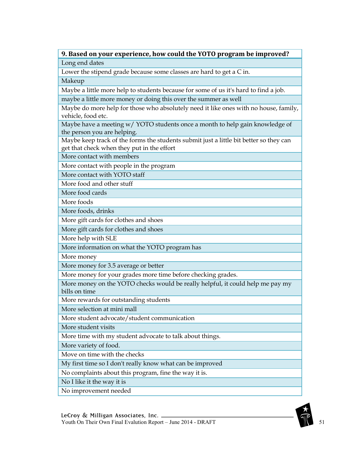Long end dates

Lower the stipend grade because some classes are hard to get a C in.

Makeup

Maybe a little more help to students because for some of us it's hard to find a job.

maybe a little more money or doing this over the summer as well

Maybe do more help for those who absolutely need it like ones with no house, family, vehicle, food etc.

Maybe have a meeting  $w/$  YOTO students once a month to help gain knowledge of the person you are helping.

Maybe keep track of the forms the students submit just a little bit better so they can get that check when they put in the effort

More contact with members

More contact with people in the program

More contact with YOTO staff

More food and other stuff

More food cards

More foods

More foods, drinks

More gift cards for clothes and shoes

More gift cards for clothes and shoes

More help with SLE

More information on what the YOTO program has

More money

More money for 3.5 average or better

More money for your grades more time before checking grades.

More money on the YOTO checks would be really helpful, it could help me pay my bills on time

More rewards for outstanding students

More selection at mini mall

More student advocate/student communication

More student visits

More time with my student advocate to talk about things.

More variety of food.

Move on time with the checks

My first time so I don't really know what can be improved

No complaints about this program, fine the way it is.

No I like it the way it is

No improvement needed

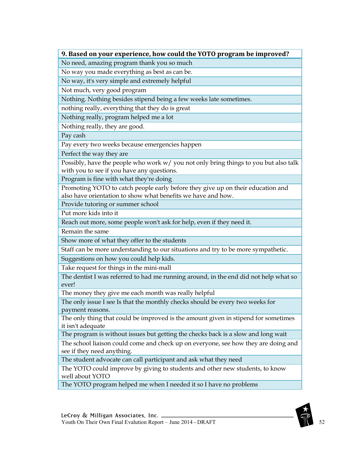No need, amazing program thank you so much

No way you made everything as best as can be.

No way, it's very simple and extremely helpful

Not much, very good program

Nothing. Nothing besides stipend being a few weeks late sometimes.

nothing really, everything that they do is great

Nothing really, program helped me a lot

Nothing really, they are good.

Pay cash

Pay every two weeks because emergencies happen

Perfect the way they are

Possibly, have the people who work w/ you not only bring things to you but also talk with you to see if you have any questions.

Program is fine with what they're doing

Promoting YOTO to catch people early before they give up on their education and also have orientation to show what benefits we have and how.

Provide tutoring or summer school

Put more kids into it

Reach out more, some people won't ask for help, even if they need it.

Remain the same

Show more of what they offer to the students

Staff can be more understanding to our situations and try to be more sympathetic.

Suggestions on how you could help kids.

Take request for things in the mini-mall

The dentist I was referred to had me running around, in the end did not help what so ever!

The money they give me each month was really helpful

The only issue I see Is that the monthly checks should be every two weeks for payment reasons.

The only thing that could be improved is the amount given in stipend for sometimes it isn't adequate

The program is without issues but getting the checks back is a slow and long wait

The school liaison could come and check up on everyone, see how they are doing and see if they need anything.

The student advocate can call participant and ask what they need

The YOTO could improve by giving to students and other new students, to know well about YOTO

The YOTO program helped me when I needed it so I have no problems

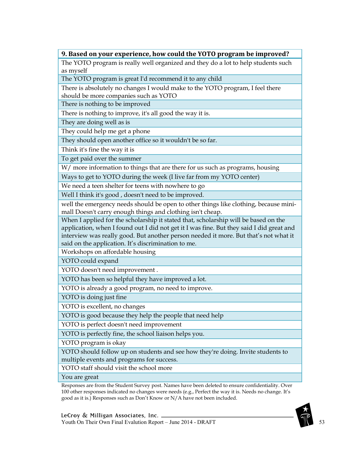The YOTO program is really well organized and they do a lot to help students such as myself

The YOTO program is great I'd recommend it to any child

There is absolutely no changes I would make to the YOTO program, I feel there should be more companies such as YOTO

There is nothing to be improved

There is nothing to improve, it's all good the way it is.

They are doing well as is

They could help me get a phone

They should open another office so it wouldn't be so far.

Think it's fine the way it is

To get paid over the summer

W/ more information to things that are there for us such as programs, housing

Ways to get to YOTO during the week (I live far from my YOTO center)

We need a teen shelter for teens with nowhere to go

Well I think it's good, doesn't need to be improved.

well the emergency needs should be open to other things like clothing, because minimall Doesn't carry enough things and clothing isn't cheap.

When I applied for the scholarship it stated that, scholarship will be based on the application, when I found out I did not get it I was fine. But they said I did great and interview was really good. But another person needed it more. But that's not what it said on the application. It's discrimination to me.

Workshops on affordable housing

YOTO could expand

YOTO doesn't need improvement .

YOTO has been so helpful they have improved a lot.

YOTO is already a good program, no need to improve.

YOTO is doing just fine

YOTO is excellent, no changes

YOTO is good because they help the people that need help

YOTO is perfect doesn't need improvement

YOTO is perfectly fine, the school liaison helps you.

YOTO program is okay

YOTO should follow up on students and see how they're doing. Invite students to multiple events and programs for success.

YOTO staff should visit the school more

You are great

Responses are from the Student Survey post. Names have been deleted to ensure confidentiality. Over 100 other responses indicated no changes were needs (e.g., Perfect the way it is. Needs no change. It's good as it is.) Responses such as Don't Know or N/A have not been included.

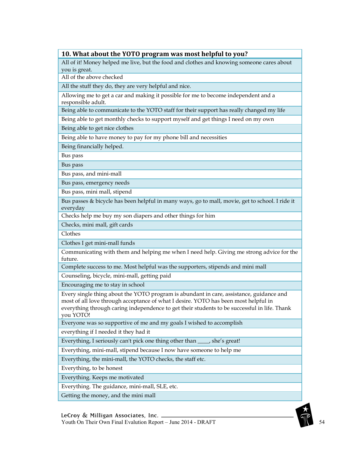All of it! Money helped me live, but the food and clothes and knowing someone cares about you is great.

All of the above checked

All the stuff they do, they are very helpful and nice.

Allowing me to get a car and making it possible for me to become independent and a responsible adult.

Being able to communicate to the YOTO staff for their support has really changed my life

Being able to get monthly checks to support myself and get things I need on my own

Being able to get nice clothes

Being able to have money to pay for my phone bill and necessities

Being financially helped.

Bus pass

Bus pass

Bus pass, and mini-mall

Bus pass, emergency needs

Bus pass, mini mall, stipend

Bus passes & bicycle has been helpful in many ways, go to mall, movie, get to school. I ride it everyday

Checks help me buy my son diapers and other things for him

Checks, mini mall, gift cards

Clothes

Clothes I get mini-mall funds

Communicating with them and helping me when I need help. Giving me strong advice for the future.

Complete success to me. Most helpful was the supporters, stipends and mini mall

Counseling, bicycle, mini-mall, getting paid

Encouraging me to stay in school

Every single thing about the YOTO program is abundant in care, assistance, guidance and most of all love through acceptance of what I desire. YOTO has been most helpful in everything through caring independence to get their students to be successful in life. Thank you YOTO!

Everyone was so supportive of me and my goals I wished to accomplish

everything if I needed it they had it

Everything, I seriously can't pick one thing other than \_\_\_\_, she's great!

Everything, mini-mall, stipend because I now have someone to help me

Everything, the mini-mall, the YOTO checks, the staff etc.

Everything, to be honest

Everything. Keeps me motivated

Everything. The guidance, mini-mall, SLE, etc.

Getting the money, and the mini mall

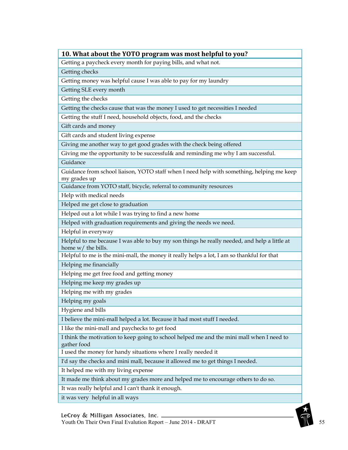Getting a paycheck every month for paying bills, and what not.

Getting checks

Getting money was helpful cause I was able to pay for my laundry

Getting SLE every month

Getting the checks

Getting the checks cause that was the money I used to get necessities I needed

Getting the stuff I need, household objects, food, and the checks

Gift cards and money

Gift cards and student living expense

Giving me another way to get good grades with the check being offered

Giving me the opportunity to be successful& and reminding me why I am successful.

Guidance

Guidance from school liaison, YOTO staff when I need help with something, helping me keep my grades up

Guidance from YOTO staff, bicycle, referral to community resources

Help with medical needs

Helped me get close to graduation

Helped out a lot while I was trying to find a new home

Helped with graduation requirements and giving the needs we need.

Helpful in everyway

Helpful to me because I was able to buy my son things he really needed, and help a little at home w/ the bills.

Helpful to me is the mini-mall, the money it really helps a lot, I am so thankful for that

Helping me financially

Helping me get free food and getting money

Helping me keep my grades up

Helping me with my grades

Helping my goals

Hygiene and bills

I believe the mini-mall helped a lot. Because it had most stuff I needed.

I like the mini-mall and paychecks to get food

I think the motivation to keep going to school helped me and the mini mall when I need to gather food

I used the money for handy situations where I really needed it

I'd say the checks and mini mall, because it allowed me to get things I needed.

It helped me with my living expense

It made me think about my grades more and helped me to encourage others to do so.

It was really helpful and I can't thank it enough.

it was very helpful in all ways

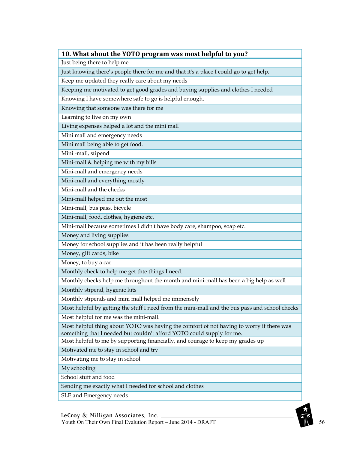| 10. What about the YOTO program was most helpful to you?                                       |
|------------------------------------------------------------------------------------------------|
| Just being there to help me                                                                    |
| Just knowing there's people there for me and that it's a place I could go to get help.         |
| Keep me updated they really care about my needs                                                |
| Keeping me motivated to get good grades and buying supplies and clothes I needed               |
| Knowing I have somewhere safe to go is helpful enough.                                         |
| Knowing that someone was there for me                                                          |
| Learning to live on my own                                                                     |
| Living expenses helped a lot and the mini mall                                                 |
| Mini mall and emergency needs                                                                  |
| Mini mall being able to get food.                                                              |
| Mini -mall, stipend                                                                            |
| Mini-mall & helping me with my bills                                                           |
| Mini-mall and emergency needs                                                                  |
| Mini-mall and everything mostly                                                                |
| Mini-mall and the checks                                                                       |
| Mini-mall helped me out the most                                                               |
| Mini-mall, bus pass, bicycle                                                                   |
| Mini-mall, food, clothes, hygiene etc.                                                         |
| Mini-mall because sometimes I didn't have body care, shampoo, soap etc.                        |
| Money and living supplies                                                                      |
| Money for school supplies and it has been really helpful                                       |
| Money, gift cards, bike                                                                        |
| Money, to buy a car                                                                            |
| Monthly check to help me get thte things I need.                                               |
| Monthly checks help me throughout the month and mini-mall has been a big help as well          |
| Monthly stipend, hygenic kits                                                                  |
| Monthly stipends and mini mall helped me immensely                                             |
| Most helpful by getting the stuff I need from the mini-mall and the bus pass and school checks |
| Most helpful for me was the mini-mall.                                                         |
| Most helpful thing about YOTO was having the comfort of not having to worry if there was       |
| something that I needed but couldn't afford YOTO could supply for me.                          |
| Most helpful to me by supporting financially, and courage to keep my grades up                 |
| Motivated me to stay in school and try                                                         |
| Motivating me to stay in school                                                                |
| My schooling                                                                                   |
| School stuff and food                                                                          |
| Sending me exactly what I needed for school and clothes                                        |
| SLE and Emergency needs                                                                        |

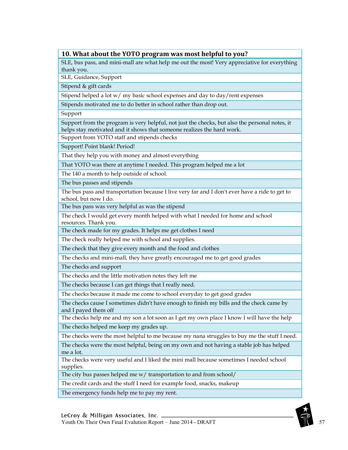SLE, bus pass, and mini-mall are what help me out the most! Very appreciative for everything thank you.

SLE, Guidance, Support

Stipend & gift cards

Stipend helped a lot w/ my basic school expenses and day to day/rent expenses

Stipends motivated me to do better in school rather than drop out.

Support

Support from the program is very helpful, not just the checks, but also the personal notes, it helps stay motivated and it shows that someone realizes the hard work.

Support from YOTO staff and stipends checks

Support! Point blank! Period!

That they help you with money and almost everything

That YOTO was there at anytime I needed. This program helped me a lot

The 140 a month to help outside of school.

The bus passes and stipends

The bus pass and transportation because I live very far and I don't ever have a ride to get to school, but now I do.

The bus pass was very helpful as was the stipend

The check I would get every month helped with what I needed for home and school resources. Thank you.

The check made for my grades. It helps me get clothes I need

The check really helped me with school and supplies.

The check that they give every month and the food and clothes

The checks and mini-mall, they have greatly encouraged me to get good grades

The checks and support

The checks and the little motivation notes they left me

The checks because I can get things that I really need.

The checks because it made me come to school everyday to get good grades

The checks cause I sometimes didn't have enough to finish my bills and the check came by and I payed them off

The checks help me and my son a lot soon as I get my own place I know I will have the help The checks helped me keep my grades up.

The checks were the most helpful to me because my nana struggles to buy me the stuff I need.

The checks were the most helpful, being on my own and not having a stable job has helped me a lot.

The checks were very useful and I liked the mini mall because sometimes I needed school supplies.

The city bus passes helped me w/ transportation to and from school/

The credit cards and the stuff I need for example food, snacks, makeup

The emergency funds help me to pay my rent.

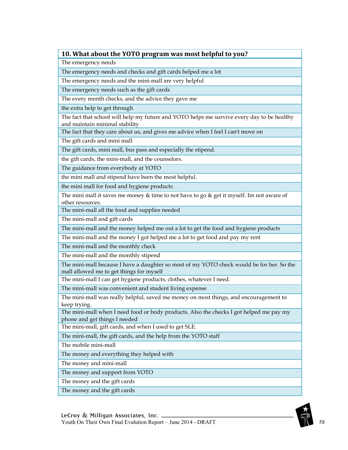The emergency needs

The emergency needs and checks and gift cards helped me a lot

The emergency needs and the mini-mall are very helpful

The emergency needs such as the gift cards

The every month checks, and the advice they gave me

the extra help to get through

The fact that school will help my future and YOTO helps me survive every day to be healthy and maintain minimal stability

The fact that they care about us, and gives me advice when I feel I can't move on

The gift cards and mini mall

The gift cards, mini mall, bus pass and especially the stipend.

the gift cards, the mini-mall, and the counselors.

The guidance from everybody at YOTO

the mini mall and stipend have been the most helpful.

the mini mall for food and hygiene products

The mini mall it saves me money & time to not have to go & get it myself. Im not aware of other resources.

The mini-mall all the food and supplies needed

The mini-mall and gift cards

The mini-mall and the money helped me out a lot to get the food and hygiene products

The mini-mall and the money I got helped me a lot to get food and pay my rent

The mini-mall and the monthly check

The mini-mall and the monthly stipend

The mini-mall because I have a daughter so most of my YOTO check would be for her. So the mall allowed me to get things for myself

The mini-mall I can get hygiene products, clothes, whatever I need.

The mini-mall was convenient and student living expense

The mini-mall was really helpful, saved me money on most things, and encouragement to keep trying.

The mini-mall when I need food or body products. Also the checks I got helped me pay my phone and get things I needed

The mini-mall, gift cards, and when I used to get SLE.

The mini-mall, the gift cards, and the help from the YOTO staff

The mobile mini-mall

The money and everything they helped with

The money and mini-mall

The money and support from YOTO

The money and the gift cards

The money and the gift cards

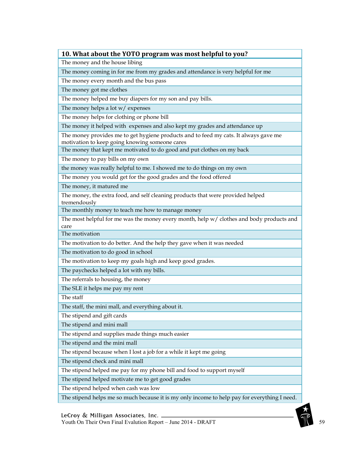The money and the house libing

The money coming in for me from my grades and attendance is very helpful for me

The money every month and the bus pass

The money got me clothes

The money helped me buy diapers for my son and pay bills.

The money helps a lot w/ expenses

The money helps for clothing or phone bill

The money it helped with expenses and also kept my grades and attendance up

The money provides me to get hygiene products and to feed my cats. It always gave me motivation to keep going knowing someone cares

The money that kept me motivated to do good and put clothes on my back

The money to pay bills on my own

the money was really helpful to me. I showed me to do things on my own

The money you would get for the good grades and the food offered

The money, it matured me

The money, the extra food, and self cleaning products that were provided helped tremendously

The monthly money to teach me how to manage money

The most helpful for me was the money every month, help w/ clothes and body products and care

The motivation

The motivation to do better. And the help they gave when it was needed

The motivation to do good in school

The motivation to keep my goals high and keep good grades.

The paychecks helped a lot with my bills.

The referrals to housing, the money

The SLE it helps me pay my rent

The staff

The staff, the mini mall, and everything about it.

The stipend and gift cards

The stipend and mini mall

The stipend and supplies made things much easier

The stipend and the mini mall

The stipend because when I lost a job for a while it kept me going

The stipend check and mini mall

The stipend helped me pay for my phone bill and food to support myself

The stipend helped motivate me to get good grades

The stipend helped when cash was low

The stipend helps me so much because it is my only income to help pay for everything I need.

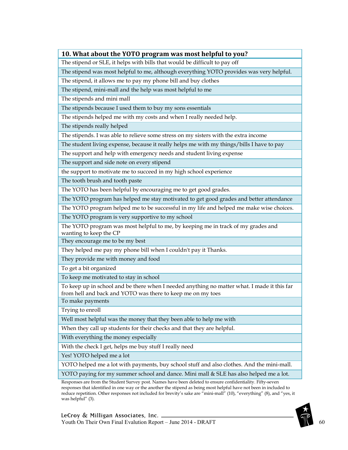The stipend or SLE, it helps with bills that would be difficult to pay off

The stipend was most helpful to me, although everything YOTO provides was very helpful.

The stipend, it allows me to pay my phone bill and buy clothes

The stipend, mini-mall and the help was most helpful to me

The stipends and mini mall

The stipends because I used them to buy my sons essentials

The stipends helped me with my costs and when I really needed help.

The stipends really helped

The stipends. I was able to relieve some stress on my sisters with the extra income

The student living expense, because it really helps me with my things/bills I have to pay

The support and help with emergency needs and student living expense

The support and side note on every stipend

the support to motivate me to succeed in my high school experience

The tooth brush and tooth paste

The YOTO has been helpful by encouraging me to get good grades.

The YOTO program has helped me stay motivated to get good grades and better attendance

The YOTO program helped me to be successful in my life and helped me make wise choices.

The YOTO program is very supportive to my school

The YOTO program was most helpful to me, by keeping me in track of my grades and wanting to keep the CP

They encourage me to be my best

They helped me pay my phone bill when I couldn't pay it Thanks.

They provide me with money and food

To get a bit organized

To keep me motivated to stay in school

To keep up in school and be there when I needed anything no matter what. I made it this far from hell and back and YOTO was there to keep me on my toes

To make payments

Trying to enroll

Well most helpful was the money that they been able to help me with

When they call up students for their checks and that they are helpful.

With everything the money especially

With the check I get, helps me buy stuff I really need

Yes! YOTO helped me a lot

YOTO helped me a lot with payments, buy school stuff and also clothes. And the mini-mall.

YOTO paying for my summer school and dance. Mini mall & SLE has also helped me a lot.

Responses are from the Student Survey post. Names have been deleted to ensure confidentiality. Fifty-seven responses that identified in one way or the another the stipend as being most helpful have not been in included to reduce repetition. Other responses not included for brevity's sake are "mini-mall" (10), "everything" (8), and "yes, it was helpful" (3).

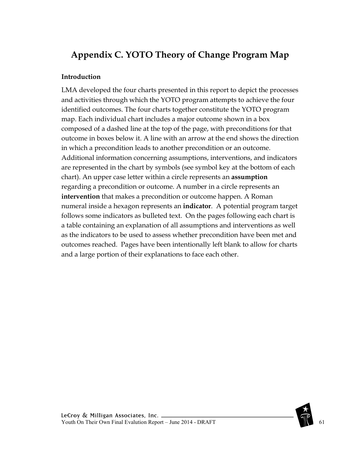# **Appendix C. YOTO Theory of Change Program Map**

## **Introduction**

LMA developed the four charts presented in this report to depict the processes and activities through which the YOTO program attempts to achieve the four identified outcomes. The four charts together constitute the YOTO program map. Each individual chart includes a major outcome shown in a box composed of a dashed line at the top of the page, with preconditions for that outcome in boxes below it. A line with an arrow at the end shows the direction in which a precondition leads to another precondition or an outcome. Additional information concerning assumptions, interventions, and indicators are represented in the chart by symbols (see symbol key at the bottom of each chart). An upper case letter within a circle represents an **assumption** regarding a precondition or outcome. A number in a circle represents an **intervention** that makes a precondition or outcome happen. A Roman numeral inside a hexagon represents an **indicator**. A potential program target follows some indicators as bulleted text. On the pages following each chart is a table containing an explanation of all assumptions and interventions as well as the indicators to be used to assess whether precondition have been met and outcomes reached. Pages have been intentionally left blank to allow for charts and a large portion of their explanations to face each other.

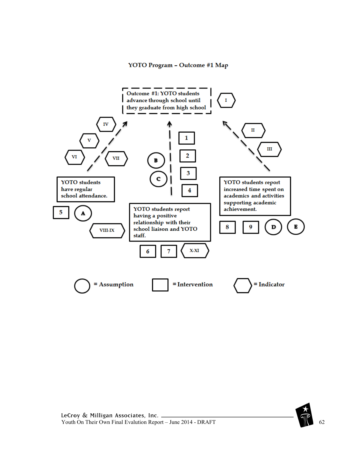#### YOTO Program - Outcome #1 Map



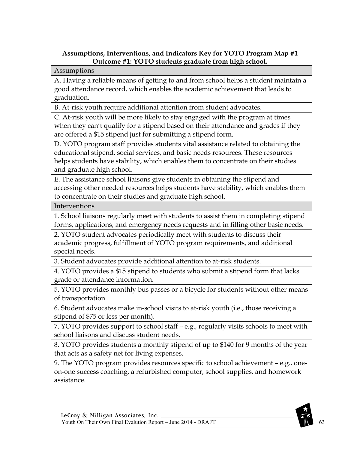## **Assumptions, Interventions, and Indicators Key for YOTO Program Map #1 Outcome #1: YOTO students graduate from high school.**

#### Assumptions

A. Having a reliable means of getting to and from school helps a student maintain a good attendance record, which enables the academic achievement that leads to graduation.

B. At-risk youth require additional attention from student advocates.

C. At-risk youth will be more likely to stay engaged with the program at times when they can't qualify for a stipend based on their attendance and grades if they are offered a \$15 stipend just for submitting a stipend form.

D. YOTO program staff provides students vital assistance related to obtaining the educational stipend, social services, and basic needs resources. These resources helps students have stability, which enables them to concentrate on their studies and graduate high school.

E. The assistance school liaisons give students in obtaining the stipend and accessing other needed resources helps students have stability, which enables them to concentrate on their studies and graduate high school.

Interventions

1. School liaisons regularly meet with students to assist them in completing stipend forms, applications, and emergency needs requests and in filling other basic needs.

2. YOTO student advocates periodically meet with students to discuss their academic progress, fulfillment of YOTO program requirements, and additional special needs.

3. Student advocates provide additional attention to at-risk students.

4. YOTO provides a \$15 stipend to students who submit a stipend form that lacks grade or attendance information.

5. YOTO provides monthly bus passes or a bicycle for students without other means of transportation.

6. Student advocates make in-school visits to at-risk youth (i.e., those receiving a stipend of \$75 or less per month).

7. YOTO provides support to school staff – e.g., regularly visits schools to meet with school liaisons and discuss student needs.

8. YOTO provides students a monthly stipend of up to \$140 for 9 months of the year that acts as a safety net for living expenses.

9. The YOTO program provides resources specific to school achievement – e.g., oneon-one success coaching, a refurbished computer, school supplies, and homework assistance.

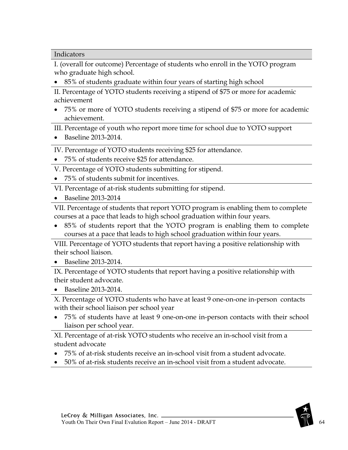Indicators

I. (overall for outcome) Percentage of students who enroll in the YOTO program who graduate high school.

• 85% of students graduate within four years of starting high school

II. Percentage of YOTO students receiving a stipend of \$75 or more for academic achievement

• 75% or more of YOTO students receiving a stipend of \$75 or more for academic achievement.

III. Percentage of youth who report more time for school due to YOTO support

• Baseline 2013-2014.

IV. Percentage of YOTO students receiving \$25 for attendance.

- 75% of students receive \$25 for attendance.
- V. Percentage of YOTO students submitting for stipend.
- 75% of students submit for incentives.
- VI. Percentage of at-risk students submitting for stipend.
- Baseline 2013-2014

VII. Percentage of students that report YOTO program is enabling them to complete courses at a pace that leads to high school graduation within four years.

• 85% of students report that the YOTO program is enabling them to complete courses at a pace that leads to high school graduation within four years.

VIII. Percentage of YOTO students that report having a positive relationship with their school liaison.

• Baseline 2013-2014.

IX. Percentage of YOTO students that report having a positive relationship with their student advocate.

• Baseline 2013-2014.

X. Percentage of YOTO students who have at least 9 one-on-one in-person contacts with their school liaison per school year

• 75% of students have at least 9 one-on-one in-person contacts with their school liaison per school year.

XI. Percentage of at-risk YOTO students who receive an in-school visit from a student advocate

- 75% of at-risk students receive an in-school visit from a student advocate.
- 50% of at-risk students receive an in-school visit from a student advocate.

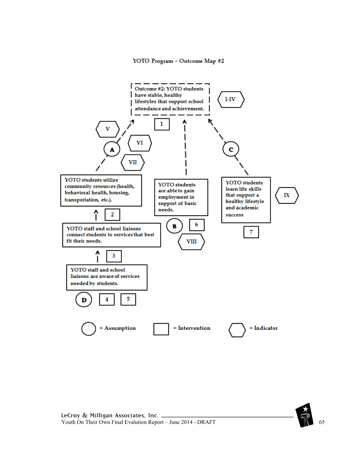#### YOTO Program - Outcome Map #2



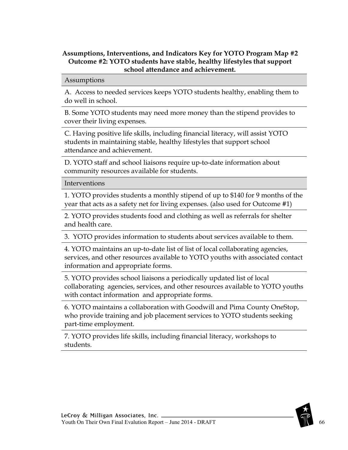### **Assumptions, Interventions, and Indicators Key for YOTO Program Map #2 Outcome #2: YOTO students have stable, healthy lifestyles that support school attendance and achievement.**

Assumptions

A. Access to needed services keeps YOTO students healthy, enabling them to do well in school.

B. Some YOTO students may need more money than the stipend provides to cover their living expenses.

C. Having positive life skills, including financial literacy, will assist YOTO students in maintaining stable, healthy lifestyles that support school attendance and achievement.

D. YOTO staff and school liaisons require up-to-date information about community resources available for students.

Interventions

1. YOTO provides students a monthly stipend of up to \$140 for 9 months of the year that acts as a safety net for living expenses. (also used for Outcome #1)

2. YOTO provides students food and clothing as well as referrals for shelter and health care.

3. YOTO provides information to students about services available to them.

4. YOTO maintains an up-to-date list of list of local collaborating agencies, services, and other resources available to YOTO youths with associated contact information and appropriate forms.

5. YOTO provides school liaisons a periodically updated list of local collaborating agencies, services, and other resources available to YOTO youths with contact information and appropriate forms.

6. YOTO maintains a collaboration with Goodwill and Pima County OneStop, who provide training and job placement services to YOTO students seeking part-time employment.

7. YOTO provides life skills, including financial literacy, workshops to students.



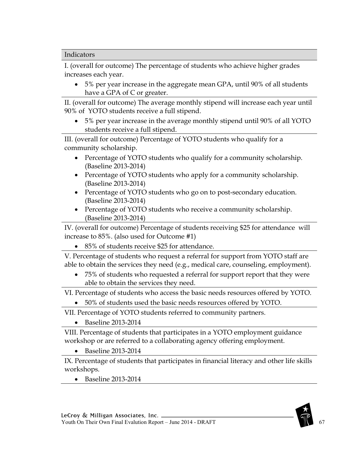#### Indicators

I. (overall for outcome) The percentage of students who achieve higher grades increases each year.

• 5% per year increase in the aggregate mean GPA, until 90% of all students have a GPA of C or greater.

II. (overall for outcome) The average monthly stipend will increase each year until 90% of YOTO students receive a full stipend.

• 5% per year increase in the average monthly stipend until 90% of all YOTO students receive a full stipend.

III. (overall for outcome) Percentage of YOTO students who qualify for a community scholarship.

- Percentage of YOTO students who qualify for a community scholarship. (Baseline 2013-2014)
- Percentage of YOTO students who apply for a community scholarship. (Baseline 2013-2014)
- Percentage of YOTO students who go on to post-secondary education. (Baseline 2013-2014)
- Percentage of YOTO students who receive a community scholarship. (Baseline 2013-2014)

IV. (overall for outcome) Percentage of students receiving \$25 for attendance will increase to 85%. (also used for Outcome #1)

• 85% of students receive \$25 for attendance.

V. Percentage of students who request a referral for support from YOTO staff are able to obtain the services they need (e.g., medical care, counseling, employment).

• 75% of students who requested a referral for support report that they were able to obtain the services they need.

VI. Percentage of students who access the basic needs resources offered by YOTO.

• 50% of students used the basic needs resources offered by YOTO.

VII. Percentage of YOTO students referred to community partners.

• Baseline 2013-2014

VIII. Percentage of students that participates in a YOTO employment guidance workshop or are referred to a collaborating agency offering employment.

• Baseline 2013-2014

IX. Percentage of students that participates in financial literacy and other life skills workshops.

• Baseline 2013-2014

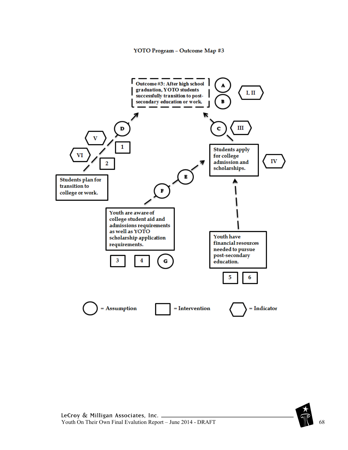

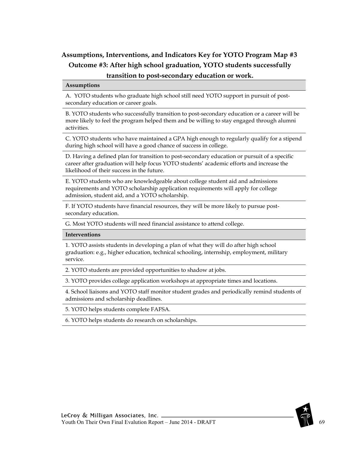## **Assumptions, Interventions, and Indicators Key for YOTO Program Map #3 Outcome #3: After high school graduation, YOTO students successfully transition to post-secondary education or work.**

#### **Assumptions**

A. YOTO students who graduate high school still need YOTO support in pursuit of postsecondary education or career goals.

B. YOTO students who successfully transition to post-secondary education or a career will be more likely to feel the program helped them and be willing to stay engaged through alumni activities.

C. YOTO students who have maintained a GPA high enough to regularly qualify for a stipend during high school will have a good chance of success in college.

D. Having a defined plan for transition to post-secondary education or pursuit of a specific career after graduation will help focus YOTO students' academic efforts and increase the likelihood of their success in the future.

E. YOTO students who are knowledgeable about college student aid and admissions requirements and YOTO scholarship application requirements will apply for college admission, student aid, and a YOTO scholarship.

F. If YOTO students have financial resources, they will be more likely to pursue postsecondary education.

G. Most YOTO students will need financial assistance to attend college.

#### **Interventions**

1. YOTO assists students in developing a plan of what they will do after high school graduation: e.g., higher education, technical schooling, internship, employment, military service.

2. YOTO students are provided opportunities to shadow at jobs.

3. YOTO provides college application workshops at appropriate times and locations.

4. School liaisons and YOTO staff monitor student grades and periodically remind students of admissions and scholarship deadlines.

5. YOTO helps students complete FAFSA.

6. YOTO helps students do research on scholarships.

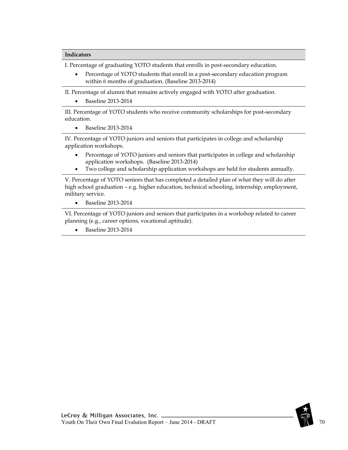#### **Indicators**

I. Percentage of graduating YOTO students that enrolls in post-secondary education.

• Percentage of YOTO students that enroll in a post-secondary education program within 6 months of graduation. (Baseline 2013-2014)

II. Percentage of alumni that remains actively engaged with YOTO after graduation.

• Baseline 2013-2014

III. Percentage of YOTO students who receive community scholarships for post-secondary education.

• Baseline 2013-2014

IV. Percentage of YOTO juniors and seniors that participates in college and scholarship application workshops.

- Percentage of YOTO juniors and seniors that participates in college and scholarship application workshops. (Baseline 2013-2014)
- Two college and scholarship application workshops are held for students annually.

V. Percentage of YOTO seniors that has completed a detailed plan of what they will do after high school graduation – e.g. higher education, technical schooling, internship, employment, military service.

• Baseline 2013-2014

VI. Percentage of YOTO juniors and seniors that participates in a workshop related to career planning (e.g., career options, vocational aptitude).

• Baseline 2013-2014



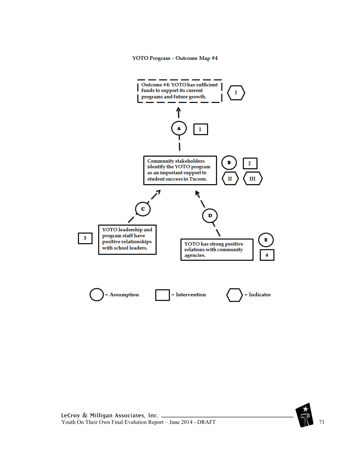#### YOTO Program - Outcome Map #4